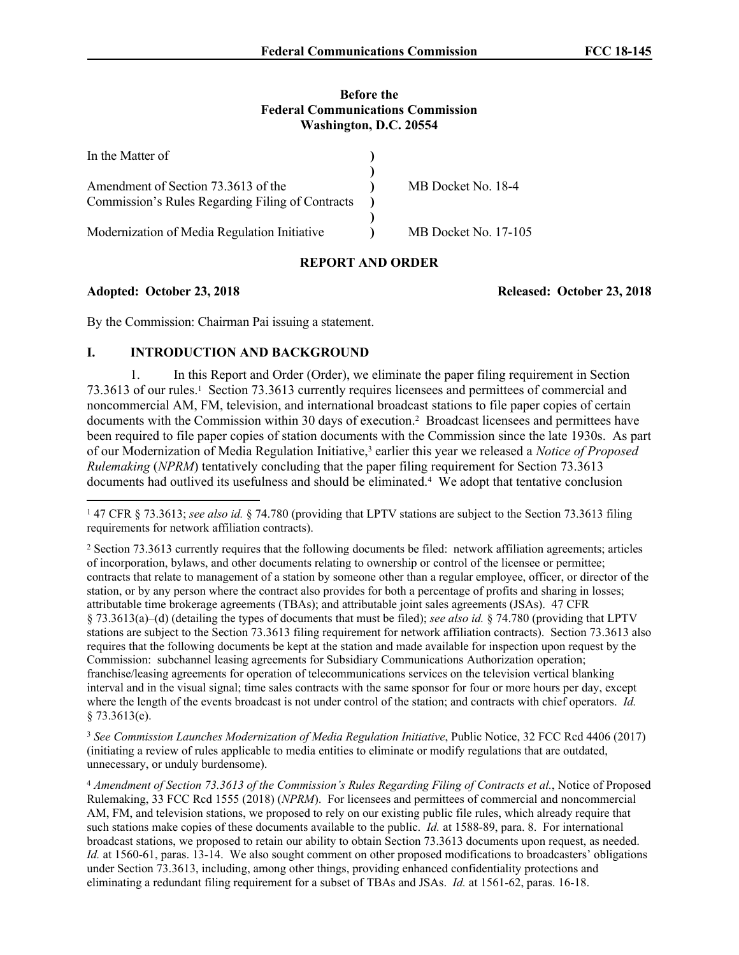#### **Before the Federal Communications Commission Washington, D.C. 20554**

| In the Matter of                                 |                             |
|--------------------------------------------------|-----------------------------|
|                                                  |                             |
| Amendment of Section 73.3613 of the              | MB Docket No. 18-4          |
| Commission's Rules Regarding Filing of Contracts |                             |
|                                                  |                             |
| Modernization of Media Regulation Initiative     | <b>MB</b> Docket No. 17-105 |

# **REPORT AND ORDER**

**Adopted: October 23, 2018 Released: October 23, 2018**

By the Commission: Chairman Pai issuing a statement.

## **I. INTRODUCTION AND BACKGROUND**

<span id="page-0-0"></span>1. In this Report and Order (Order), we eliminate the paper filing requirement in Section 73.3613 of our rules.<sup>1</sup> Section 73.3613 currently requires licensees and permittees of commercial and noncommercial AM, FM, television, and international broadcast stations to file paper copies of certain documents with the Commission within 30 days of execution.<sup>2</sup> Broadcast licensees and permittees have been required to file paper copies of station documents with the Commission since the late 1930s. As part of our Modernization of Media Regulation Initiative,<sup>3</sup> earlier this year we released a *Notice of Proposed Rulemaking* (*NPRM*) tentatively concluding that the paper filing requirement for Section 73.3613 documents had outlived its usefulness and should be eliminated.<sup>4</sup> We adopt that tentative conclusion

<sup>3</sup> *See Commission Launches Modernization of Media Regulation Initiative*, Public Notice, 32 FCC Rcd 4406 (2017) (initiating a review of rules applicable to media entities to eliminate or modify regulations that are outdated, unnecessary, or unduly burdensome).

<sup>1</sup> 47 CFR § 73.3613; *see also id.* § 74.780 (providing that LPTV stations are subject to the Section 73.3613 filing requirements for network affiliation contracts).

<sup>2</sup> Section 73.3613 currently requires that the following documents be filed: network affiliation agreements; articles of incorporation, bylaws, and other documents relating to ownership or control of the licensee or permittee; contracts that relate to management of a station by someone other than a regular employee, officer, or director of the station, or by any person where the contract also provides for both a percentage of profits and sharing in losses; attributable time brokerage agreements (TBAs); and attributable joint sales agreements (JSAs). 47 CFR § 73.3613(a)–(d) (detailing the types of documents that must be filed); *see also id.* § 74.780 (providing that LPTV stations are subject to the Section 73.3613 filing requirement for network affiliation contracts). Section 73.3613 also requires that the following documents be kept at the station and made available for inspection upon request by the Commission: subchannel leasing agreements for Subsidiary Communications Authorization operation; franchise/leasing agreements for operation of telecommunications services on the television vertical blanking interval and in the visual signal; time sales contracts with the same sponsor for four or more hours per day, except where the length of the events broadcast is not under control of the station; and contracts with chief operators. *Id.* § 73.3613(e).

<sup>4</sup> *Amendment of Section 73.3613 of the Commission's Rules Regarding Filing of Contracts et al.*, Notice of Proposed Rulemaking, 33 FCC Rcd 1555 (2018) (*NPRM*). For licensees and permittees of commercial and noncommercial AM, FM, and television stations, we proposed to rely on our existing public file rules, which already require that such stations make copies of these documents available to the public. *Id.* at 1588-89, para. 8. For international broadcast stations, we proposed to retain our ability to obtain Section 73.3613 documents upon request, as needed. *Id.* at 1560-61, paras. 13-14. We also sought comment on other proposed modifications to broadcasters' obligations under Section 73.3613, including, among other things, providing enhanced confidentiality protections and eliminating a redundant filing requirement for a subset of TBAs and JSAs. *Id.* at 1561-62, paras. 16-18.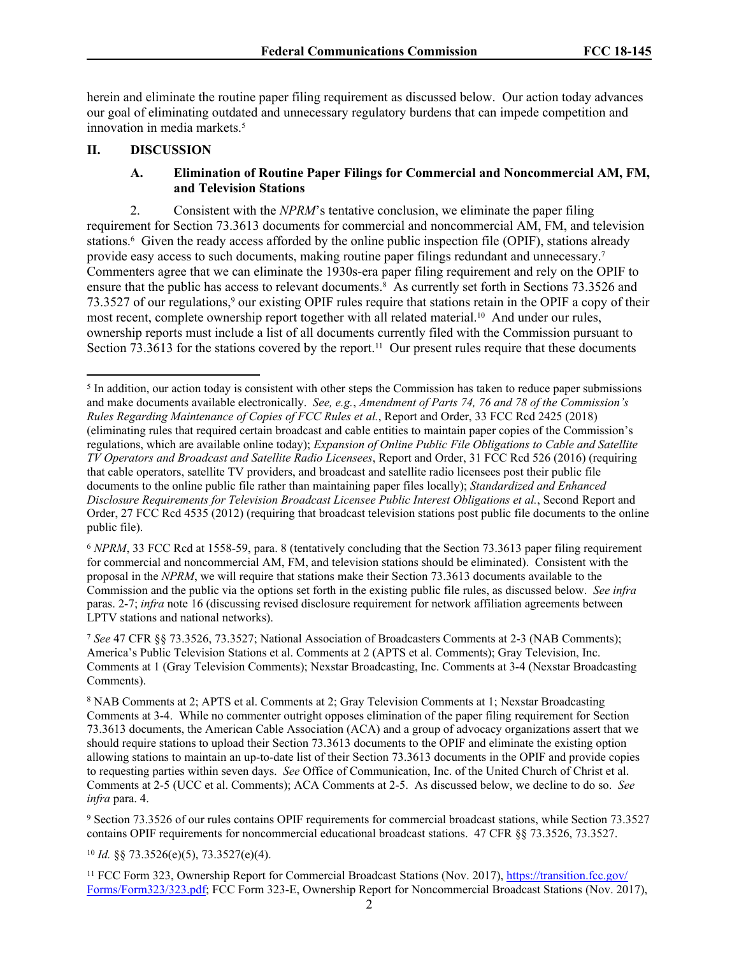herein and eliminate the routine paper filing requirement as discussed below. Our action today advances our goal of eliminating outdated and unnecessary regulatory burdens that can impede competition and innovation in media markets.<sup>5</sup>

#### **II. DISCUSSION**

## <span id="page-1-1"></span><span id="page-1-0"></span>**A. Elimination of Routine Paper Filings for Commercial and Noncommercial AM, FM, and Television Stations**

2. Consistent with the *NPRM*'s tentative conclusion, we eliminate the paper filing requirement for Section 73.3613 documents for commercial and noncommercial AM, FM, and television stations.<sup>6</sup> Given the ready access afforded by the online public inspection file (OPIF), stations already provide easy access to such documents, making routine paper filings redundant and unnecessary.<sup>7</sup> Commenters agree that we can eliminate the 1930s-era paper filing requirement and rely on the OPIF to ensure that the public has access to relevant documents.<sup>8</sup> As currently set forth in Sections 73.3526 and 73.3527 of our regulations,<sup>9</sup> our existing OPIF rules require that stations retain in the OPIF a copy of their most recent, complete ownership report together with all related material.<sup>10</sup> And under our rules, ownership reports must include a list of all documents currently filed with the Commission pursuant to Section 73.3613 for the stations covered by the report.<sup>11</sup> Our present rules require that these documents

<sup>6</sup> *NPRM*, 33 FCC Rcd at 1558-59, para. 8 (tentatively concluding that the Section 73.3613 paper filing requirement for commercial and noncommercial AM, FM, and television stations should be eliminated). Consistent with the proposal in the *NPRM*, we will require that stations make their Section 73.3613 documents available to the Commission and the public via the options set forth in the existing public file rules, as discussed below. *See infra* paras. [2](#page-1-0)[-7](#page-4-0); *infra* note [16](#page-2-0) (discussing revised disclosure requirement for network affiliation agreements between LPTV stations and national networks).

<sup>7</sup> *See* 47 CFR §§ 73.3526, 73.3527; National Association of Broadcasters Comments at 2-3 (NAB Comments); America's Public Television Stations et al. Comments at 2 (APTS et al. Comments); Gray Television, Inc. Comments at 1 (Gray Television Comments); Nexstar Broadcasting, Inc. Comments at 3-4 (Nexstar Broadcasting Comments).

<sup>9</sup> Section 73.3526 of our rules contains OPIF requirements for commercial broadcast stations, while Section 73.3527 contains OPIF requirements for noncommercial educational broadcast stations. 47 CFR §§ 73.3526, 73.3527.

<sup>10</sup> *Id.* §§ 73.3526(e)(5), 73.3527(e)(4).

<sup>11</sup> FCC Form 323, Ownership Report for Commercial Broadcast Stations (Nov. 2017), [https://transition.fcc.gov/](https://transition.fcc.gov/Forms/Form323/323.pdf) [Forms/Form323/323.pdf;](https://transition.fcc.gov/Forms/Form323/323.pdf) FCC Form 323-E, Ownership Report for Noncommercial Broadcast Stations (Nov. 2017),

<sup>&</sup>lt;sup>5</sup> In addition, our action today is consistent with other steps the Commission has taken to reduce paper submissions and make documents available electronically. *See, e.g.*, *Amendment of Parts 74, 76 and 78 of the Commission's Rules Regarding Maintenance of Copies of FCC Rules et al.*, Report and Order, 33 FCC Rcd 2425 (2018) (eliminating rules that required certain broadcast and cable entities to maintain paper copies of the Commission's regulations, which are available online today); *Expansion of Online Public File Obligations to Cable and Satellite TV Operators and Broadcast and Satellite Radio Licensees*, Report and Order, 31 FCC Rcd 526 (2016) (requiring that cable operators, satellite TV providers, and broadcast and satellite radio licensees post their public file documents to the online public file rather than maintaining paper files locally); *Standardized and Enhanced Disclosure Requirements for Television Broadcast Licensee Public Interest Obligations et al.*, Second Report and Order, 27 FCC Rcd 4535 (2012) (requiring that broadcast television stations post public file documents to the online public file).

<sup>8</sup> NAB Comments at 2; APTS et al. Comments at 2; Gray Television Comments at 1; Nexstar Broadcasting Comments at 3-4. While no commenter outright opposes elimination of the paper filing requirement for Section 73.3613 documents, the American Cable Association (ACA) and a group of advocacy organizations assert that we should require stations to upload their Section 73.3613 documents to the OPIF and eliminate the existing option allowing stations to maintain an up-to-date list of their Section 73.3613 documents in the OPIF and provide copies to requesting parties within seven days. *See* Office of Communication, Inc. of the United Church of Christ et al. Comments at 2-5 (UCC et al. Comments); ACA Comments at 2-5. As discussed below, we decline to do so. *See infra* para. [4](#page-3-0).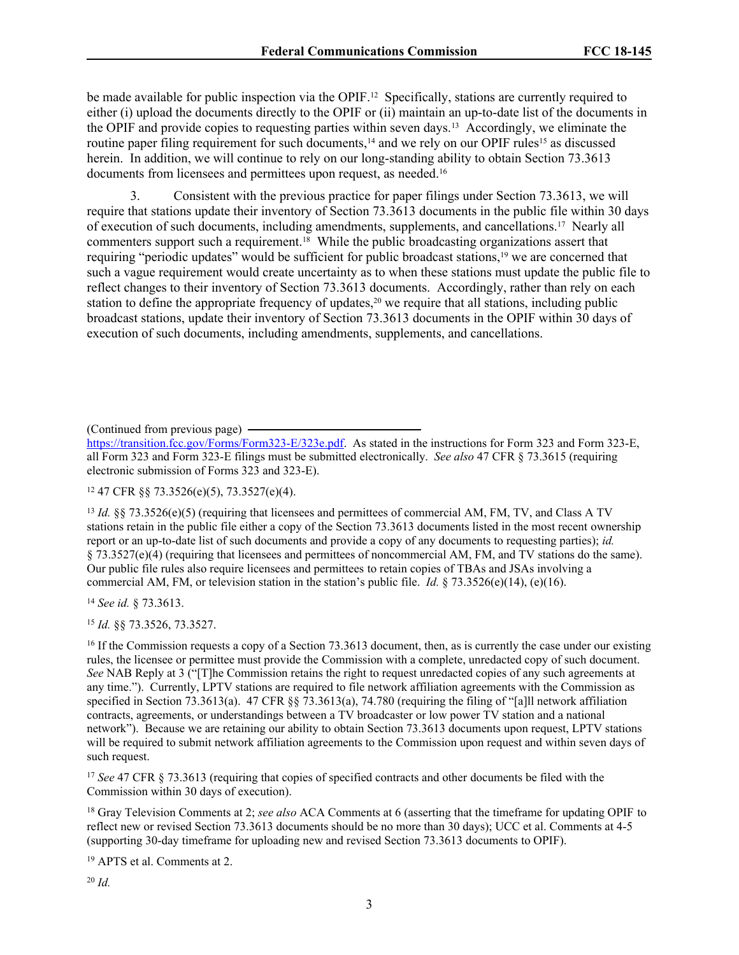be made available for public inspection via the OPIF.<sup>12</sup> Specifically, stations are currently required to either (i) upload the documents directly to the OPIF or (ii) maintain an up-to-date list of the documents in the OPIF and provide copies to requesting parties within seven days.<sup>13</sup> Accordingly, we eliminate the routine paper filing requirement for such documents,<sup>14</sup> and we rely on our OPIF rules<sup>15</sup> as discussed herein. In addition, we will continue to rely on our long-standing ability to obtain Section 73.3613 documents from licensees and permittees upon request, as needed.<sup>16</sup>

<span id="page-2-1"></span><span id="page-2-0"></span>3. Consistent with the previous practice for paper filings under Section 73.3613, we will require that stations update their inventory of Section 73.3613 documents in the public file within 30 days of execution of such documents, including amendments, supplements, and cancellations.<sup>17</sup> Nearly all commenters support such a requirement.<sup>18</sup> While the public broadcasting organizations assert that requiring "periodic updates" would be sufficient for public broadcast stations,<sup>19</sup> we are concerned that such a vague requirement would create uncertainty as to when these stations must update the public file to reflect changes to their inventory of Section 73.3613 documents. Accordingly, rather than rely on each station to define the appropriate frequency of updates,<sup>20</sup> we require that all stations, including public broadcast stations, update their inventory of Section 73.3613 documents in the OPIF within 30 days of execution of such documents, including amendments, supplements, and cancellations.

(Continued from previous page)

[https://transition.fcc.gov/Forms/Form323-E/323e.pdf.](https://transition.fcc.gov/Forms/Form323-E/323e.pdf) As stated in the instructions for Form 323 and Form 323-E, all Form 323 and Form 323-E filings must be submitted electronically. *See also* 47 CFR § 73.3615 (requiring electronic submission of Forms 323 and 323-E).

<sup>12</sup> 47 CFR §§ 73.3526(e)(5), 73.3527(e)(4).

<sup>13</sup> *Id.* §§ 73.3526(e)(5) (requiring that licensees and permittees of commercial AM, FM, TV, and Class A TV stations retain in the public file either a copy of the Section 73.3613 documents listed in the most recent ownership report or an up-to-date list of such documents and provide a copy of any documents to requesting parties); *id.* § 73.3527(e)(4) (requiring that licensees and permittees of noncommercial AM, FM, and TV stations do the same). Our public file rules also require licensees and permittees to retain copies of TBAs and JSAs involving a commercial AM, FM, or television station in the station's public file. *Id.* § 73.3526(e)(14), (e)(16).

<sup>14</sup> *See id.* § 73.3613.

<sup>15</sup> *Id.* §§ 73.3526, 73.3527.

<sup>16</sup> If the Commission requests a copy of a Section 73.3613 document, then, as is currently the case under our existing rules, the licensee or permittee must provide the Commission with a complete, unredacted copy of such document. *See* NAB Reply at 3 ("[T]he Commission retains the right to request unredacted copies of any such agreements at any time."). Currently, LPTV stations are required to file network affiliation agreements with the Commission as specified in Section 73.3613(a). 47 CFR §§ 73.3613(a), 74.780 (requiring the filing of "[a]ll network affiliation contracts, agreements, or understandings between a TV broadcaster or low power TV station and a national network"). Because we are retaining our ability to obtain Section 73.3613 documents upon request, LPTV stations will be required to submit network affiliation agreements to the Commission upon request and within seven days of such request.

<sup>17</sup> *See* 47 CFR § 73.3613 (requiring that copies of specified contracts and other documents be filed with the Commission within 30 days of execution).

<sup>18</sup> Gray Television Comments at 2; *see also* ACA Comments at 6 (asserting that the timeframe for updating OPIF to reflect new or revised Section 73.3613 documents should be no more than 30 days); UCC et al. Comments at 4-5 (supporting 30-day timeframe for uploading new and revised Section 73.3613 documents to OPIF).

<sup>19</sup> APTS et al. Comments at 2.

<sup>20</sup> *Id.*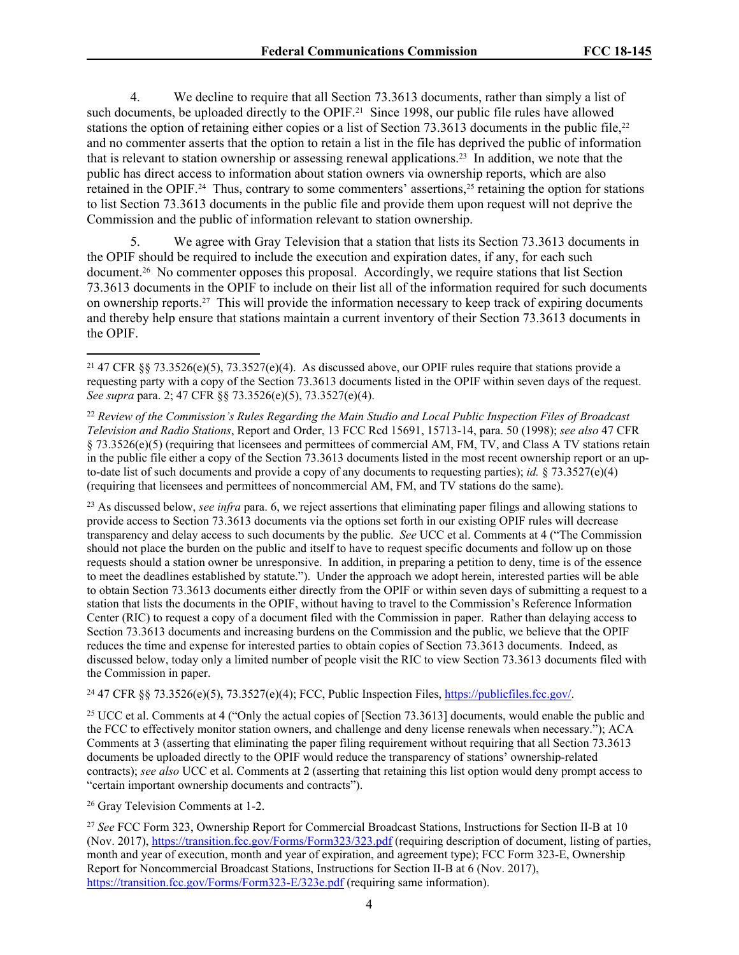<span id="page-3-1"></span><span id="page-3-0"></span>4. We decline to require that all Section 73.3613 documents, rather than simply a list of such documents, be uploaded directly to the OPIF.<sup>21</sup> Since 1998, our public file rules have allowed stations the option of retaining either copies or a list of Section 73.3613 documents in the public file,<sup>22</sup> and no commenter asserts that the option to retain a list in the file has deprived the public of information that is relevant to station ownership or assessing renewal applications.<sup>23</sup> In addition, we note that the public has direct access to information about station owners via ownership reports, which are also retained in the OPIF.<sup>24</sup> Thus, contrary to some commenters' assertions,<sup>25</sup> retaining the option for stations to list Section 73.3613 documents in the public file and provide them upon request will not deprive the Commission and the public of information relevant to station ownership.

<span id="page-3-3"></span><span id="page-3-2"></span>5. We agree with Gray Television that a station that lists its Section 73.3613 documents in the OPIF should be required to include the execution and expiration dates, if any, for each such document.<sup>26</sup> No commenter opposes this proposal. Accordingly, we require stations that list Section 73.3613 documents in the OPIF to include on their list all of the information required for such documents on ownership reports.<sup>27</sup> This will provide the information necessary to keep track of expiring documents and thereby help ensure that stations maintain a current inventory of their Section 73.3613 documents in the OPIF.

<sup>23</sup> As discussed below, *see infra* para. [6](#page-4-1), we reject assertions that eliminating paper filings and allowing stations to provide access to Section 73.3613 documents via the options set forth in our existing OPIF rules will decrease transparency and delay access to such documents by the public. *See* UCC et al. Comments at 4 ("The Commission should not place the burden on the public and itself to have to request specific documents and follow up on those requests should a station owner be unresponsive. In addition, in preparing a petition to deny, time is of the essence to meet the deadlines established by statute."). Under the approach we adopt herein, interested parties will be able to obtain Section 73.3613 documents either directly from the OPIF or within seven days of submitting a request to a station that lists the documents in the OPIF, without having to travel to the Commission's Reference Information Center (RIC) to request a copy of a document filed with the Commission in paper. Rather than delaying access to Section 73.3613 documents and increasing burdens on the Commission and the public, we believe that the OPIF reduces the time and expense for interested parties to obtain copies of Section 73.3613 documents. Indeed, as discussed below, today only a limited number of people visit the RIC to view Section 73.3613 documents filed with the Commission in paper.

<sup>24</sup> 47 CFR §§ 73.3526(e)(5), 73.3527(e)(4); FCC, Public Inspection Files, [https://publicfiles.fcc.gov/.](https://publicfiles.fcc.gov/)

<sup>25</sup> UCC et al. Comments at 4 ("Only the actual copies of [Section 73.3613] documents, would enable the public and the FCC to effectively monitor station owners, and challenge and deny license renewals when necessary."); ACA Comments at 3 (asserting that eliminating the paper filing requirement without requiring that all Section 73.3613 documents be uploaded directly to the OPIF would reduce the transparency of stations' ownership-related contracts); *see also* UCC et al. Comments at 2 (asserting that retaining this list option would deny prompt access to "certain important ownership documents and contracts").

<sup>26</sup> Gray Television Comments at 1-2.

<sup>27</sup> *See* FCC Form 323, Ownership Report for Commercial Broadcast Stations, Instructions for Section II-B at 10 (Nov. 2017), <https://transition.fcc.gov/Forms/Form323/323.pdf> (requiring description of document, listing of parties, month and year of execution, month and year of expiration, and agreement type); FCC Form 323-E, Ownership Report for Noncommercial Broadcast Stations, Instructions for Section II-B at 6 (Nov. 2017), <https://transition.fcc.gov/Forms/Form323-E/323e.pdf> (requiring same information).

<sup>21</sup> 47 CFR §§ 73.3526(e)(5), 73.3527(e)(4). As discussed above, our OPIF rules require that stations provide a requesting party with a copy of the Section 73.3613 documents listed in the OPIF within seven days of the request. *See supra* para. [2;](#page-1-0) 47 CFR §§ 73.3526(e)(5), 73.3527(e)(4).

<sup>22</sup> *Review of the Commission's Rules Regarding the Main Studio and Local Public Inspection Files of Broadcast Television and Radio Stations*, Report and Order, 13 FCC Rcd 15691, 15713-14, para. 50 (1998); *see also* 47 CFR § 73.3526(e)(5) (requiring that licensees and permittees of commercial AM, FM, TV, and Class A TV stations retain in the public file either a copy of the Section 73.3613 documents listed in the most recent ownership report or an upto-date list of such documents and provide a copy of any documents to requesting parties); *id.* § 73.3527(e)(4) (requiring that licensees and permittees of noncommercial AM, FM, and TV stations do the same).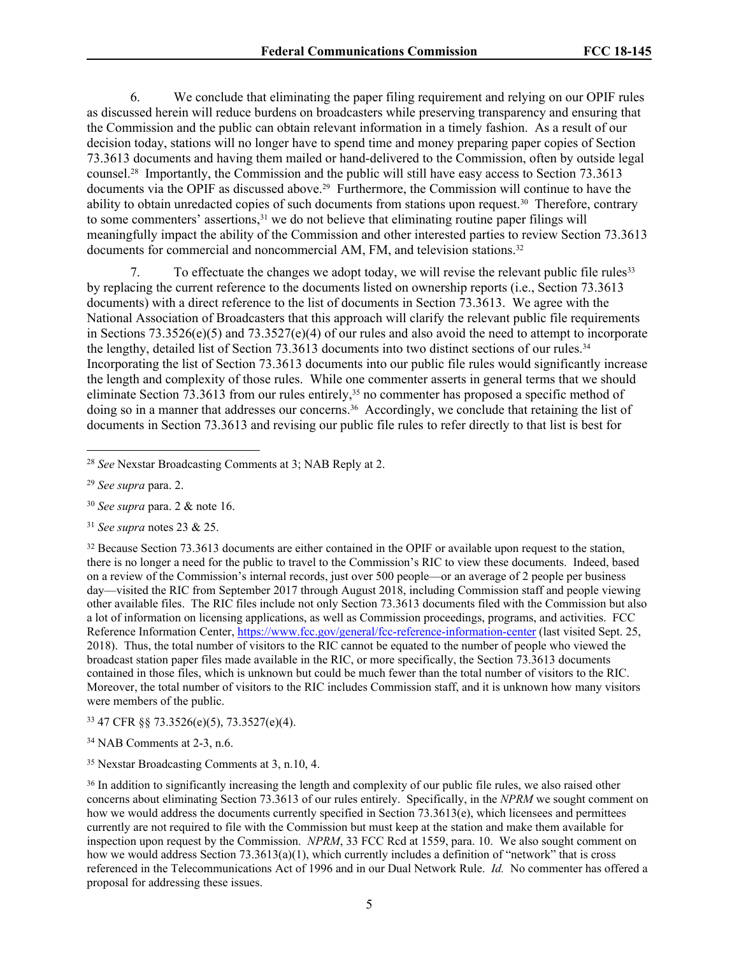<span id="page-4-1"></span>6. We conclude that eliminating the paper filing requirement and relying on our OPIF rules as discussed herein will reduce burdens on broadcasters while preserving transparency and ensuring that the Commission and the public can obtain relevant information in a timely fashion. As a result of our decision today, stations will no longer have to spend time and money preparing paper copies of Section 73.3613 documents and having them mailed or hand-delivered to the Commission, often by outside legal counsel.<sup>28</sup> Importantly, the Commission and the public will still have easy access to Section 73.3613 documents via the OPIF as discussed above.<sup>29</sup> Furthermore, the Commission will continue to have the ability to obtain unredacted copies of such documents from stations upon request.<sup>30</sup> Therefore, contrary to some commenters' assertions,<sup>31</sup> we do not believe that eliminating routine paper filings will meaningfully impact the ability of the Commission and other interested parties to review Section 73.3613 documents for commercial and noncommercial AM, FM, and television stations.<sup>32</sup>

<span id="page-4-0"></span>7. To effectuate the changes we adopt today, we will revise the relevant public file rules<sup>33</sup> by replacing the current reference to the documents listed on ownership reports (i.e., Section 73.3613 documents) with a direct reference to the list of documents in Section 73.3613. We agree with the National Association of Broadcasters that this approach will clarify the relevant public file requirements in Sections 73.3526(e)(5) and 73.3527(e)(4) of our rules and also avoid the need to attempt to incorporate the lengthy, detailed list of Section 73.3613 documents into two distinct sections of our rules.<sup>34</sup> Incorporating the list of Section 73.3613 documents into our public file rules would significantly increase the length and complexity of those rules. While one commenter asserts in general terms that we should eliminate Section 73.3613 from our rules entirely,<sup>35</sup> no commenter has proposed a specific method of doing so in a manner that addresses our concerns.<sup>36</sup> Accordingly, we conclude that retaining the list of documents in Section 73.3613 and revising our public file rules to refer directly to that list is best for

<sup>31</sup> *See supra* notes [23](#page-3-1) & [25](#page-3-2).

<sup>32</sup> Because Section 73.3613 documents are either contained in the OPIF or available upon request to the station, there is no longer a need for the public to travel to the Commission's RIC to view these documents. Indeed, based on a review of the Commission's internal records, just over 500 people—or an average of 2 people per business day—visited the RIC from September 2017 through August 2018, including Commission staff and people viewing other available files. The RIC files include not only Section 73.3613 documents filed with the Commission but also a lot of information on licensing applications, as well as Commission proceedings, programs, and activities. FCC Reference Information Center, <https://www.fcc.gov/general/fcc-reference-information-center> (last visited Sept. 25, 2018). Thus, the total number of visitors to the RIC cannot be equated to the number of people who viewed the broadcast station paper files made available in the RIC, or more specifically, the Section 73.3613 documents contained in those files, which is unknown but could be much fewer than the total number of visitors to the RIC. Moreover, the total number of visitors to the RIC includes Commission staff, and it is unknown how many visitors were members of the public.

<sup>33</sup> 47 CFR §§ 73.3526(e)(5), 73.3527(e)(4).

<sup>34</sup> NAB Comments at 2-3, n.6.

<sup>35</sup> Nexstar Broadcasting Comments at 3, n.10, 4.

<sup>36</sup> In addition to significantly increasing the length and complexity of our public file rules, we also raised other concerns about eliminating Section 73.3613 of our rules entirely. Specifically, in the *NPRM* we sought comment on how we would address the documents currently specified in Section 73.3613(e), which licensees and permittees currently are not required to file with the Commission but must keep at the station and make them available for inspection upon request by the Commission. *NPRM*, 33 FCC Rcd at 1559, para. 10. We also sought comment on how we would address Section 73.3613(a)(1), which currently includes a definition of "network" that is cross referenced in the Telecommunications Act of 1996 and in our Dual Network Rule. *Id.* No commenter has offered a proposal for addressing these issues.

<sup>28</sup> *See* Nexstar Broadcasting Comments at 3; NAB Reply at 2.

<sup>29</sup> *See supra* para. [2.](#page-1-0)

<sup>30</sup> *See supra* para. [2](#page-1-0) & note [16](#page-2-0).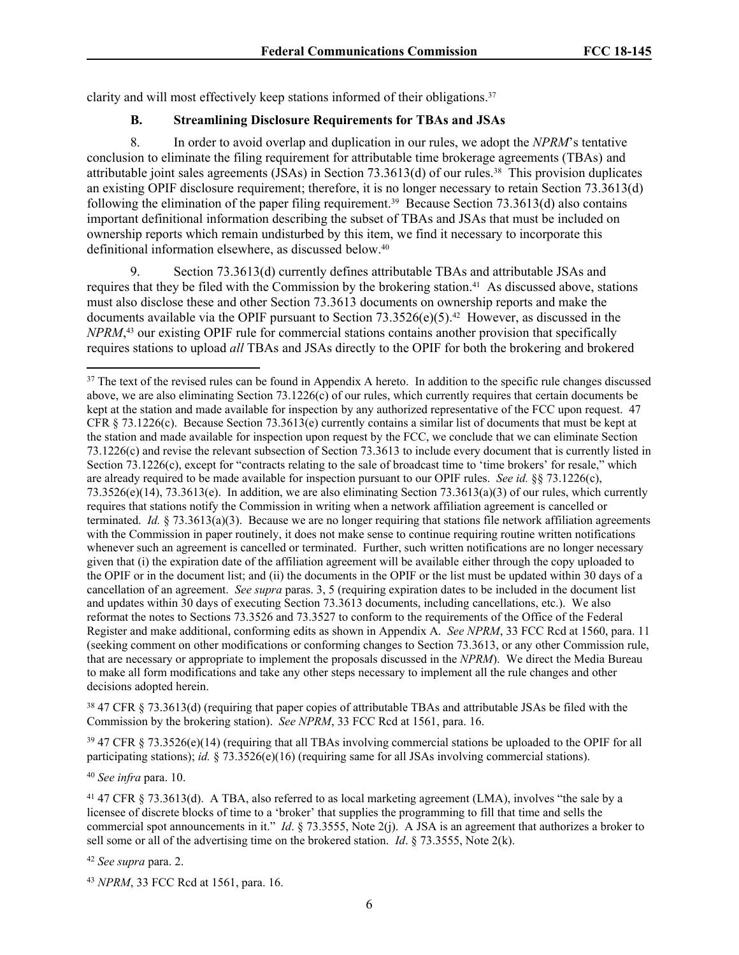clarity and will most effectively keep stations informed of their obligations.<sup>37</sup>

# <span id="page-5-0"></span>**B. Streamlining Disclosure Requirements for TBAs and JSAs**

8. In order to avoid overlap and duplication in our rules, we adopt the *NPRM*'s tentative conclusion to eliminate the filing requirement for attributable time brokerage agreements (TBAs) and attributable joint sales agreements (JSAs) in Section 73.3613(d) of our rules.<sup>38</sup> This provision duplicates an existing OPIF disclosure requirement; therefore, it is no longer necessary to retain Section 73.3613(d) following the elimination of the paper filing requirement.<sup>39</sup> Because Section 73.3613(d) also contains important definitional information describing the subset of TBAs and JSAs that must be included on ownership reports which remain undisturbed by this item, we find it necessary to incorporate this definitional information elsewhere, as discussed below.<sup>40</sup>

Section 73.3613(d) currently defines attributable TBAs and attributable JSAs and requires that they be filed with the Commission by the brokering station.<sup>41</sup> As discussed above, stations must also disclose these and other Section 73.3613 documents on ownership reports and make the documents available via the OPIF pursuant to Section 73.3526(e)(5).<sup>42</sup> However, as discussed in the *NPRM*, <sup>43</sup> our existing OPIF rule for commercial stations contains another provision that specifically requires stations to upload *all* TBAs and JSAs directly to the OPIF for both the brokering and brokered

<sup>38</sup> 47 CFR § 73.3613(d) (requiring that paper copies of attributable TBAs and attributable JSAs be filed with the Commission by the brokering station). *See NPRM*, 33 FCC Rcd at 1561, para. 16.

<sup>39</sup> 47 CFR § 73.3526(e)(14) (requiring that all TBAs involving commercial stations be uploaded to the OPIF for all participating stations); *id.* § 73.3526(e)(16) (requiring same for all JSAs involving commercial stations).

<sup>40</sup> *See infra* para. [10.](#page-6-0)

<sup>41</sup> 47 CFR § 73.3613(d). A TBA, also referred to as local marketing agreement (LMA), involves "the sale by a licensee of discrete blocks of time to a 'broker' that supplies the programming to fill that time and sells the commercial spot announcements in it." *Id*. § 73.3555, Note 2(j). A JSA is an agreement that authorizes a broker to sell some or all of the advertising time on the brokered station. *Id*. § 73.3555, Note 2(k).

<sup>42</sup> *See supra* para. [2.](#page-1-0)

<sup>43</sup> *NPRM*, 33 FCC Rcd at 1561, para. 16.

<sup>&</sup>lt;sup>37</sup> The text of the revised rules can be found in Appendix A hereto. In addition to the specific rule changes discussed above, we are also eliminating Section  $73.1226(c)$  of our rules, which currently requires that certain documents be kept at the station and made available for inspection by any authorized representative of the FCC upon request. 47 CFR § 73.1226(c). Because Section 73.3613(e) currently contains a similar list of documents that must be kept at the station and made available for inspection upon request by the FCC, we conclude that we can eliminate Section 73.1226(c) and revise the relevant subsection of Section 73.3613 to include every document that is currently listed in Section 73.1226(c), except for "contracts relating to the sale of broadcast time to 'time brokers' for resale," which are already required to be made available for inspection pursuant to our OPIF rules. *See id.* §§ 73.1226(c),  $73.3526(e)(14)$ ,  $73.3613(e)$ . In addition, we are also eliminating Section  $73.3613(a)(3)$  of our rules, which currently requires that stations notify the Commission in writing when a network affiliation agreement is cancelled or terminated. *Id.* § 73.3613(a)(3). Because we are no longer requiring that stations file network affiliation agreements with the Commission in paper routinely, it does not make sense to continue requiring routine written notifications whenever such an agreement is cancelled or terminated. Further, such written notifications are no longer necessary given that (i) the expiration date of the affiliation agreement will be available either through the copy uploaded to the OPIF or in the document list; and (ii) the documents in the OPIF or the list must be updated within 30 days of a cancellation of an agreement. *See supra* paras. [3](#page-2-1), [5](#page-3-3) (requiring expiration dates to be included in the document list and updates within 30 days of executing Section 73.3613 documents, including cancellations, etc.). We also reformat the notes to Sections 73.3526 and 73.3527 to conform to the requirements of the Office of the Federal Register and make additional, conforming edits as shown in Appendix A. *See NPRM*, 33 FCC Rcd at 1560, para. 11 (seeking comment on other modifications or conforming changes to Section 73.3613, or any other Commission rule, that are necessary or appropriate to implement the proposals discussed in the *NPRM*). We direct the Media Bureau to make all form modifications and take any other steps necessary to implement all the rule changes and other decisions adopted herein.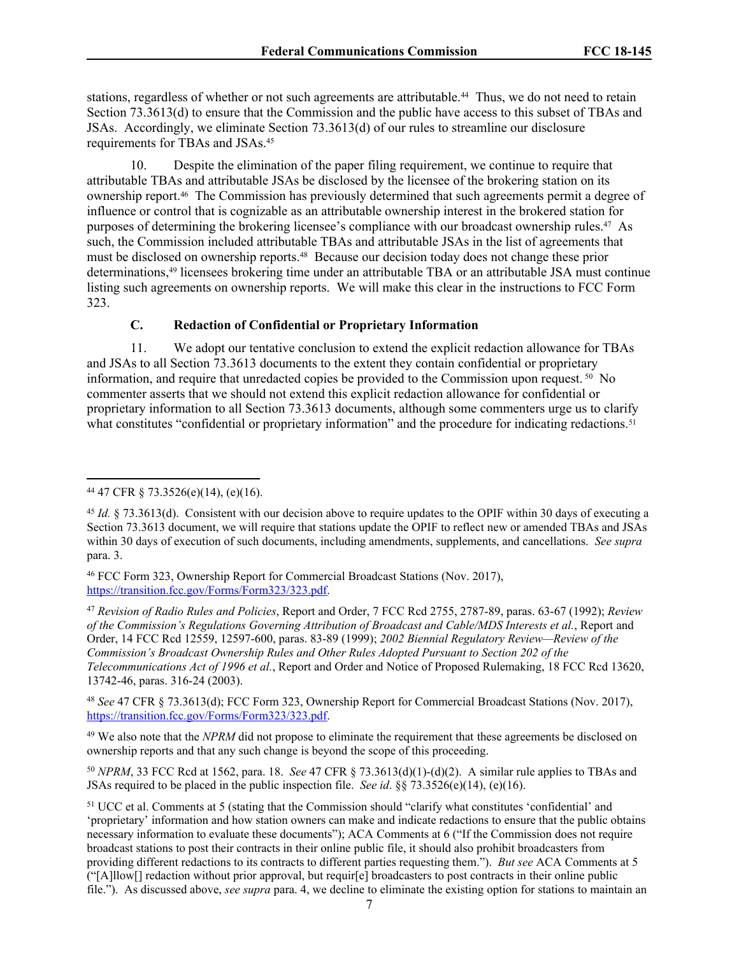stations, regardless of whether or not such agreements are attributable.<sup>44</sup> Thus, we do not need to retain Section 73.3613(d) to ensure that the Commission and the public have access to this subset of TBAs and JSAs. Accordingly, we eliminate Section 73.3613(d) of our rules to streamline our disclosure requirements for TBAs and JSAs.<sup>45</sup>

<span id="page-6-0"></span>10. Despite the elimination of the paper filing requirement, we continue to require that attributable TBAs and attributable JSAs be disclosed by the licensee of the brokering station on its ownership report.<sup>46</sup> The Commission has previously determined that such agreements permit a degree of influence or control that is cognizable as an attributable ownership interest in the brokered station for purposes of determining the brokering licensee's compliance with our broadcast ownership rules.<sup>47</sup> As such, the Commission included attributable TBAs and attributable JSAs in the list of agreements that must be disclosed on ownership reports.<sup>48</sup> Because our decision today does not change these prior determinations,<sup>49</sup> licensees brokering time under an attributable TBA or an attributable JSA must continue listing such agreements on ownership reports. We will make this clear in the instructions to FCC Form 323.

#### <span id="page-6-1"></span>**C. Redaction of Confidential or Proprietary Information**

11. We adopt our tentative conclusion to extend the explicit redaction allowance for TBAs and JSAs to all Section 73.3613 documents to the extent they contain confidential or proprietary information, and require that unredacted copies be provided to the Commission upon request. <sup>50</sup> No commenter asserts that we should not extend this explicit redaction allowance for confidential or proprietary information to all Section 73.3613 documents, although some commenters urge us to clarify what constitutes "confidential or proprietary information" and the procedure for indicating redactions.<sup>51</sup>

<sup>47</sup> *Revision of Radio Rules and Policies*, Report and Order, 7 FCC Rcd 2755, 2787-89, paras. 63-67 (1992); *Review of the Commission's Regulations Governing Attribution of Broadcast and Cable/MDS Interests et al.*, Report and Order, 14 FCC Rcd 12559, 12597-600, paras. 83-89 (1999); *2002 Biennial Regulatory Review—Review of the Commission's Broadcast Ownership Rules and Other Rules Adopted Pursuant to Section 202 of the Telecommunications Act of 1996 et al.*, Report and Order and Notice of Proposed Rulemaking, 18 FCC Rcd 13620, 13742-46, paras. 316-24 (2003).

<sup>48</sup> *See* 47 CFR § 73.3613(d); FCC Form 323, Ownership Report for Commercial Broadcast Stations (Nov. 2017), <https://transition.fcc.gov/Forms/Form323/323.pdf>.

<sup>49</sup> We also note that the *NPRM* did not propose to eliminate the requirement that these agreements be disclosed on ownership reports and that any such change is beyond the scope of this proceeding.

<sup>50</sup> *NPRM*, 33 FCC Rcd at 1562, para. 18. *See* 47 CFR § 73.3613(d)(1)-(d)(2). A similar rule applies to TBAs and JSAs required to be placed in the public inspection file. *See id*. §§ 73.3526(e)(14), (e)(16).

<sup>44</sup> 47 CFR § 73.3526(e)(14), (e)(16).

<sup>&</sup>lt;sup>45</sup> *Id.* § 73.3613(d). Consistent with our decision above to require updates to the OPIF within 30 days of executing a Section 73.3613 document, we will require that stations update the OPIF to reflect new or amended TBAs and JSAs within 30 days of execution of such documents, including amendments, supplements, and cancellations. *See supra* para. [3](#page-2-1).

<sup>46</sup> FCC Form 323, Ownership Report for Commercial Broadcast Stations (Nov. 2017), <https://transition.fcc.gov/Forms/Form323/323.pdf>.

<sup>51</sup> UCC et al. Comments at 5 (stating that the Commission should "clarify what constitutes 'confidential' and 'proprietary' information and how station owners can make and indicate redactions to ensure that the public obtains necessary information to evaluate these documents"); ACA Comments at 6 ("If the Commission does not require broadcast stations to post their contracts in their online public file, it should also prohibit broadcasters from providing different redactions to its contracts to different parties requesting them."). *But see* ACA Comments at 5 ("[A]llow[] redaction without prior approval, but requir[e] broadcasters to post contracts in their online public file."). As discussed above, *see supra* para. [4](#page-3-0), we decline to eliminate the existing option for stations to maintain an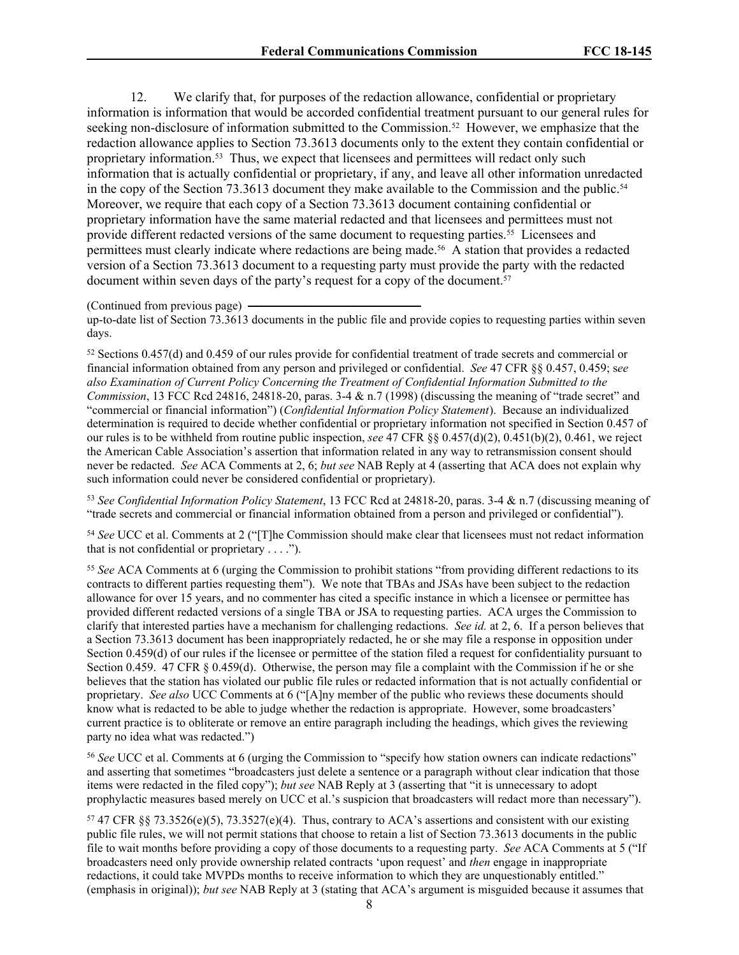12. We clarify that, for purposes of the redaction allowance, confidential or proprietary information is information that would be accorded confidential treatment pursuant to our general rules for seeking non-disclosure of information submitted to the Commission.<sup>52</sup> However, we emphasize that the redaction allowance applies to Section 73.3613 documents only to the extent they contain confidential or proprietary information.<sup>53</sup> Thus, we expect that licensees and permittees will redact only such information that is actually confidential or proprietary, if any, and leave all other information unredacted in the copy of the Section 73.3613 document they make available to the Commission and the public.<sup>54</sup> Moreover, we require that each copy of a Section 73.3613 document containing confidential or proprietary information have the same material redacted and that licensees and permittees must not provide different redacted versions of the same document to requesting parties.<sup>55</sup> Licensees and permittees must clearly indicate where redactions are being made.<sup>56</sup> A station that provides a redacted version of a Section 73.3613 document to a requesting party must provide the party with the redacted document within seven days of the party's request for a copy of the document.<sup>57</sup>

(Continued from previous page)

up-to-date list of Section 73.3613 documents in the public file and provide copies to requesting parties within seven days.

<sup>52</sup> Sections 0.457(d) and 0.459 of our rules provide for confidential treatment of trade secrets and commercial or financial information obtained from any person and privileged or confidential. *See* 47 CFR §§ 0.457, 0.459; s*ee also Examination of Current Policy Concerning the Treatment of Confidential Information Submitted to the Commission*, 13 FCC Rcd 24816, 24818-20, paras. 3-4 & n.7 (1998) (discussing the meaning of "trade secret" and "commercial or financial information") (*Confidential Information Policy Statement*). Because an individualized determination is required to decide whether confidential or proprietary information not specified in Section 0.457 of our rules is to be withheld from routine public inspection, *see* 47 CFR §§ 0.457(d)(2), 0.451(b)(2), 0.461, we reject the American Cable Association's assertion that information related in any way to retransmission consent should never be redacted. *See* ACA Comments at 2, 6; *but see* NAB Reply at 4 (asserting that ACA does not explain why such information could never be considered confidential or proprietary).

<sup>53</sup> *See Confidential Information Policy Statement*, 13 FCC Rcd at 24818-20, paras. 3-4 & n.7 (discussing meaning of "trade secrets and commercial or financial information obtained from a person and privileged or confidential").

<sup>54</sup> *See* UCC et al. Comments at 2 ("[T]he Commission should make clear that licensees must not redact information that is not confidential or proprietary  $\dots$ .").

<sup>55</sup> *See* ACA Comments at 6 (urging the Commission to prohibit stations "from providing different redactions to its contracts to different parties requesting them"). We note that TBAs and JSAs have been subject to the redaction allowance for over 15 years, and no commenter has cited a specific instance in which a licensee or permittee has provided different redacted versions of a single TBA or JSA to requesting parties. ACA urges the Commission to clarify that interested parties have a mechanism for challenging redactions. *See id.* at 2, 6. If a person believes that a Section 73.3613 document has been inappropriately redacted, he or she may file a response in opposition under Section 0.459(d) of our rules if the licensee or permittee of the station filed a request for confidentiality pursuant to Section 0.459. 47 CFR § 0.459(d). Otherwise, the person may file a complaint with the Commission if he or she believes that the station has violated our public file rules or redacted information that is not actually confidential or proprietary. *See also* UCC Comments at 6 ("[A]ny member of the public who reviews these documents should know what is redacted to be able to judge whether the redaction is appropriate. However, some broadcasters' current practice is to obliterate or remove an entire paragraph including the headings, which gives the reviewing party no idea what was redacted.")

<sup>56</sup> *See* UCC et al. Comments at 6 (urging the Commission to "specify how station owners can indicate redactions" and asserting that sometimes "broadcasters just delete a sentence or a paragraph without clear indication that those items were redacted in the filed copy"); *but see* NAB Reply at 3 (asserting that "it is unnecessary to adopt prophylactic measures based merely on UCC et al.'s suspicion that broadcasters will redact more than necessary").

<sup>57</sup> 47 CFR §§ 73.3526(e)(5), 73.3527(e)(4). Thus, contrary to ACA's assertions and consistent with our existing public file rules, we will not permit stations that choose to retain a list of Section 73.3613 documents in the public file to wait months before providing a copy of those documents to a requesting party. *See* ACA Comments at 5 ("If broadcasters need only provide ownership related contracts 'upon request' and *then* engage in inappropriate redactions, it could take MVPDs months to receive information to which they are unquestionably entitled." (emphasis in original)); *but see* NAB Reply at 3 (stating that ACA's argument is misguided because it assumes that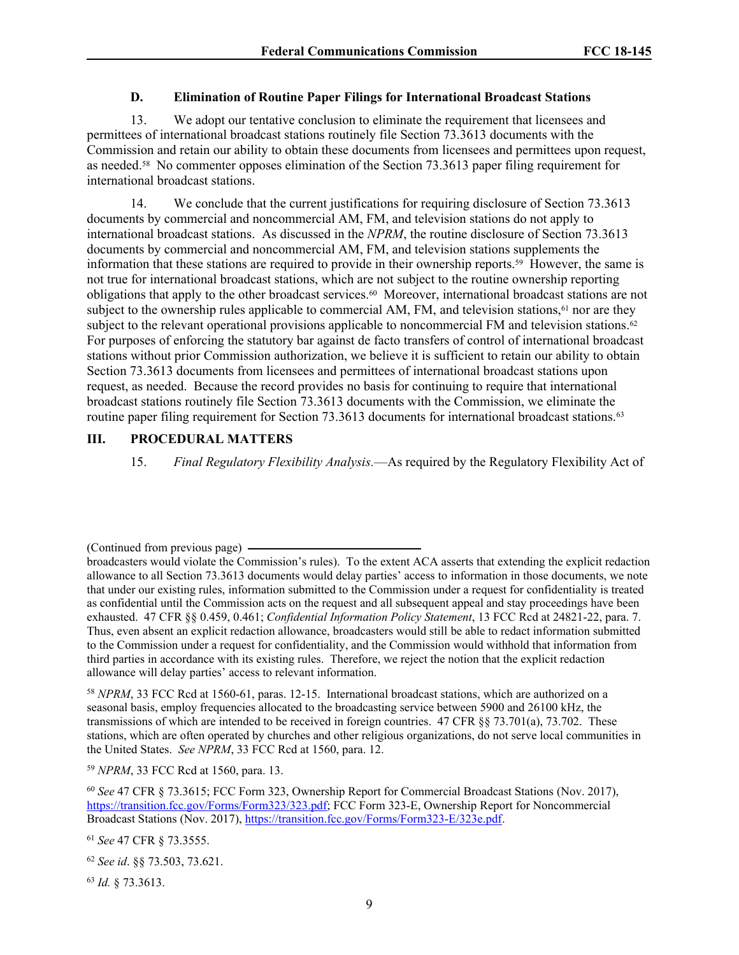#### <span id="page-8-0"></span>**D. Elimination of Routine Paper Filings for International Broadcast Stations**

13. We adopt our tentative conclusion to eliminate the requirement that licensees and permittees of international broadcast stations routinely file Section 73.3613 documents with the Commission and retain our ability to obtain these documents from licensees and permittees upon request, as needed.<sup>58</sup> No commenter opposes elimination of the Section 73.3613 paper filing requirement for international broadcast stations.

14. We conclude that the current justifications for requiring disclosure of Section 73.3613 documents by commercial and noncommercial AM, FM, and television stations do not apply to international broadcast stations. As discussed in the *NPRM*, the routine disclosure of Section 73.3613 documents by commercial and noncommercial AM, FM, and television stations supplements the information that these stations are required to provide in their ownership reports.<sup>59</sup> However, the same is not true for international broadcast stations, which are not subject to the routine ownership reporting obligations that apply to the other broadcast services.<sup>60</sup> Moreover, international broadcast stations are not subject to the ownership rules applicable to commercial AM, FM, and television stations, $61$  nor are they subject to the relevant operational provisions applicable to noncommercial FM and television stations.<sup>62</sup> For purposes of enforcing the statutory bar against de facto transfers of control of international broadcast stations without prior Commission authorization, we believe it is sufficient to retain our ability to obtain Section 73.3613 documents from licensees and permittees of international broadcast stations upon request, as needed. Because the record provides no basis for continuing to require that international broadcast stations routinely file Section 73.3613 documents with the Commission, we eliminate the routine paper filing requirement for Section 73.3613 documents for international broadcast stations.<sup>63</sup>

#### **III. PROCEDURAL MATTERS**

15. *Final Regulatory Flexibility Analysis.*—As required by the Regulatory Flexibility Act of

<sup>58</sup> *NPRM*, 33 FCC Rcd at 1560-61, paras. 12-15. International broadcast stations, which are authorized on a seasonal basis, employ frequencies allocated to the broadcasting service between 5900 and 26100 kHz, the transmissions of which are intended to be received in foreign countries. 47 CFR §§ 73.701(a), 73.702. These stations, which are often operated by churches and other religious organizations, do not serve local communities in the United States. *See NPRM*, 33 FCC Rcd at 1560, para. 12.

<sup>59</sup> *NPRM*, 33 FCC Rcd at 1560, para. 13.

<sup>60</sup> *See* 47 CFR § 73.3615; FCC Form 323, Ownership Report for Commercial Broadcast Stations (Nov. 2017), <https://transition.fcc.gov/Forms/Form323/323.pdf>; FCC Form 323-E, Ownership Report for Noncommercial Broadcast Stations (Nov. 2017), <https://transition.fcc.gov/Forms/Form323-E/323e.pdf>.

<sup>61</sup> *See* 47 CFR § 73.3555.

<sup>62</sup> *See id*. §§ 73.503, 73.621.

<sup>63</sup> *Id.* § 73.3613.

<sup>(</sup>Continued from previous page)

broadcasters would violate the Commission's rules). To the extent ACA asserts that extending the explicit redaction allowance to all Section 73.3613 documents would delay parties' access to information in those documents, we note that under our existing rules, information submitted to the Commission under a request for confidentiality is treated as confidential until the Commission acts on the request and all subsequent appeal and stay proceedings have been exhausted. 47 CFR §§ 0.459, 0.461; *Confidential Information Policy Statement*, 13 FCC Rcd at 24821-22, para. 7. Thus, even absent an explicit redaction allowance, broadcasters would still be able to redact information submitted to the Commission under a request for confidentiality, and the Commission would withhold that information from third parties in accordance with its existing rules. Therefore, we reject the notion that the explicit redaction allowance will delay parties' access to relevant information.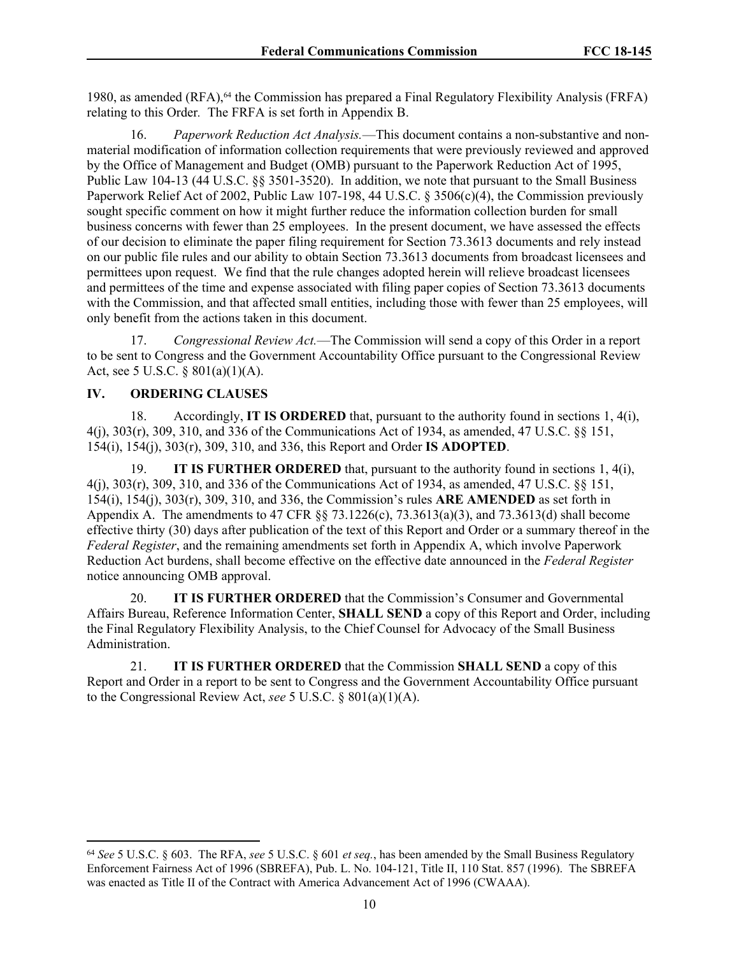1980, as amended (RFA),<sup>64</sup> the Commission has prepared a Final Regulatory Flexibility Analysis (FRFA) relating to this Order*.* The FRFA is set forth in Appendix B.

16. *Paperwork Reduction Act Analysis.*—This document contains a non-substantive and nonmaterial modification of information collection requirements that were previously reviewed and approved by the Office of Management and Budget (OMB) pursuant to the Paperwork Reduction Act of 1995, Public Law 104-13 (44 U.S.C. §§ 3501-3520). In addition, we note that pursuant to the Small Business Paperwork Relief Act of 2002, Public Law 107-198, 44 U.S.C. § 3506(c)(4), the Commission previously sought specific comment on how it might further reduce the information collection burden for small business concerns with fewer than 25 employees. In the present document, we have assessed the effects of our decision to eliminate the paper filing requirement for Section 73.3613 documents and rely instead on our public file rules and our ability to obtain Section 73.3613 documents from broadcast licensees and permittees upon request. We find that the rule changes adopted herein will relieve broadcast licensees and permittees of the time and expense associated with filing paper copies of Section 73.3613 documents with the Commission, and that affected small entities, including those with fewer than 25 employees, will only benefit from the actions taken in this document.

17. *Congressional Review Act.*—The Commission will send a copy of this Order in a report to be sent to Congress and the Government Accountability Office pursuant to the Congressional Review Act, see 5 U.S.C. § 801(a)(1)(A).

## **IV. ORDERING CLAUSES**

18. Accordingly, **IT IS ORDERED** that, pursuant to the authority found in sections 1, 4(i), 4(j), 303(r), 309, 310, and 336 of the Communications Act of 1934, as amended, 47 U.S.C. §§ 151, 154(i), 154(j), 303(r), 309, 310, and 336, this Report and Order **IS ADOPTED**.

19. **IT IS FURTHER ORDERED** that, pursuant to the authority found in sections 1, 4(i), 4(j), 303(r), 309, 310, and 336 of the Communications Act of 1934, as amended, 47 U.S.C. §§ 151, 154(i), 154(j), 303(r), 309, 310, and 336, the Commission's rules **ARE AMENDED** as set forth in Appendix A. The amendments to 47 CFR §§ 73.1226(c), 73.3613(a)(3), and 73.3613(d) shall become effective thirty (30) days after publication of the text of this Report and Order or a summary thereof in the *Federal Register*, and the remaining amendments set forth in Appendix A, which involve Paperwork Reduction Act burdens, shall become effective on the effective date announced in the *Federal Register* notice announcing OMB approval.

20. **IT IS FURTHER ORDERED** that the Commission's Consumer and Governmental Affairs Bureau, Reference Information Center, **SHALL SEND** a copy of this Report and Order, including the Final Regulatory Flexibility Analysis, to the Chief Counsel for Advocacy of the Small Business Administration.

21. **IT IS FURTHER ORDERED** that the Commission **SHALL SEND** a copy of this Report and Order in a report to be sent to Congress and the Government Accountability Office pursuant to the Congressional Review Act, *see* 5 U.S.C. § 801(a)(1)(A).

<sup>64</sup> *See* 5 U.S.C. § 603. The RFA, *see* 5 U.S.C. § 601 *et seq.*, has been amended by the Small Business Regulatory Enforcement Fairness Act of 1996 (SBREFA), Pub. L. No. 104-121, Title II, 110 Stat. 857 (1996). The SBREFA was enacted as Title II of the Contract with America Advancement Act of 1996 (CWAAA).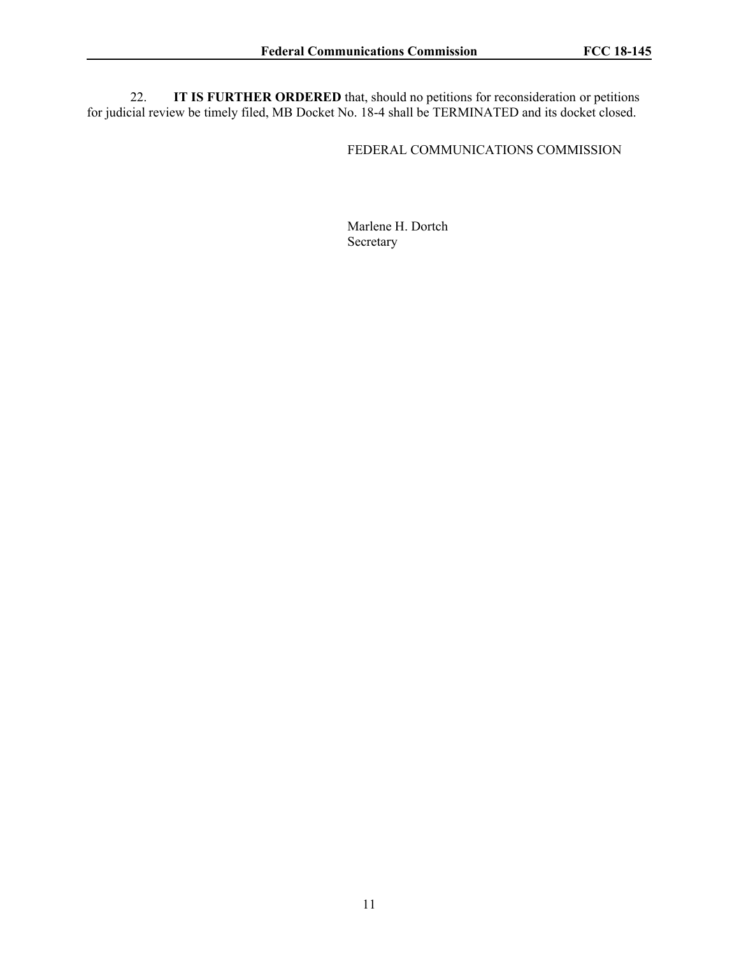22. **IT IS FURTHER ORDERED** that, should no petitions for reconsideration or petitions for judicial review be timely filed, MB Docket No. 18-4 shall be TERMINATED and its docket closed.

## FEDERAL COMMUNICATIONS COMMISSION

Marlene H. Dortch Secretary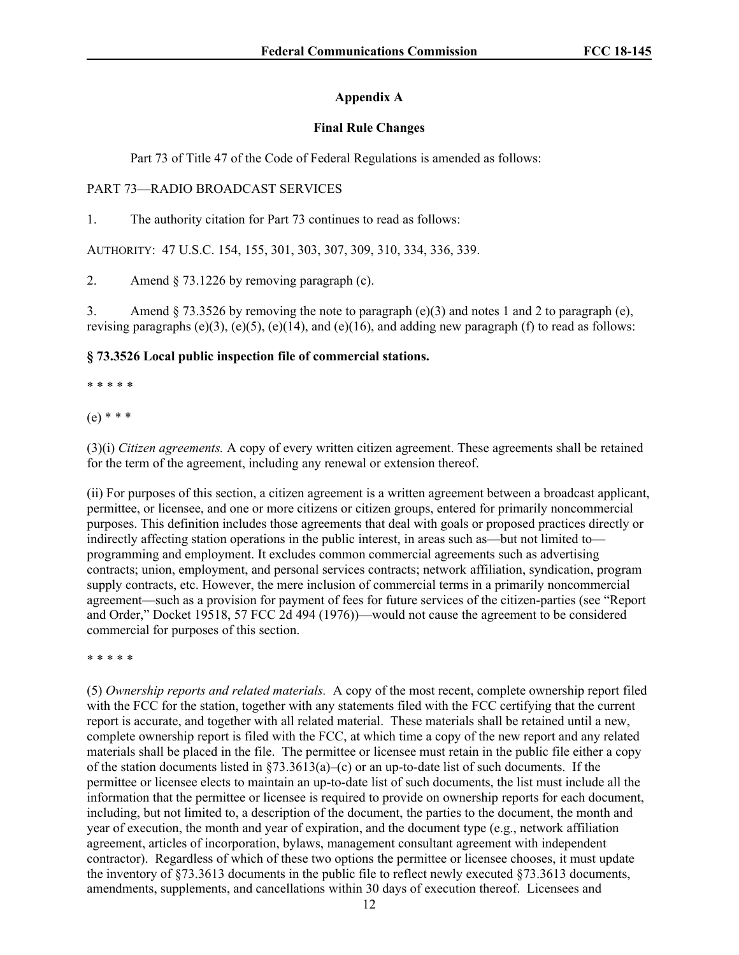# **Appendix A**

# **Final Rule Changes**

Part 73 of Title 47 of the Code of Federal Regulations is amended as follows:

# PART 73—RADIO BROADCAST SERVICES

1. The authority citation for Part 73 continues to read as follows:

AUTHORITY: 47 U.S.C. 154, 155, 301, 303, 307, 309, 310, 334, 336, 339.

2. Amend § 73.1226 by removing paragraph (c).

3. Amend  $\S 73.3526$  by removing the note to paragraph (e)(3) and notes 1 and 2 to paragraph (e), revising paragraphs (e)(3), (e)(5), (e)(14), and (e)(16), and adding new paragraph (f) to read as follows:

# **§ 73.3526 Local public inspection file of commercial stations.**

\* \* \* \* \*

(e) \* \* \*

(3)(i) *Citizen agreements.* A copy of every written citizen agreement. These agreements shall be retained for the term of the agreement, including any renewal or extension thereof.

(ii) For purposes of this section, a citizen agreement is a written agreement between a broadcast applicant, permittee, or licensee, and one or more citizens or citizen groups, entered for primarily noncommercial purposes. This definition includes those agreements that deal with goals or proposed practices directly or indirectly affecting station operations in the public interest, in areas such as—but not limited to programming and employment. It excludes common commercial agreements such as advertising contracts; union, employment, and personal services contracts; network affiliation, syndication, program supply contracts, etc. However, the mere inclusion of commercial terms in a primarily noncommercial agreement—such as a provision for payment of fees for future services of the citizen-parties (see "Report and Order," Docket 19518, 57 FCC 2d 494 (1976))—would not cause the agreement to be considered commercial for purposes of this section.

\* \* \* \* \*

(5) *Ownership reports and related materials.* A copy of the most recent, complete ownership report filed with the FCC for the station, together with any statements filed with the FCC certifying that the current report is accurate, and together with all related material. These materials shall be retained until a new, complete ownership report is filed with the FCC, at which time a copy of the new report and any related materials shall be placed in the file. The permittee or licensee must retain in the public file either a copy of the station documents listed in §73.3613(a)–(c) or an up-to-date list of such documents. If the permittee or licensee elects to maintain an up-to-date list of such documents, the list must include all the information that the permittee or licensee is required to provide on ownership reports for each document, including, but not limited to, a description of the document, the parties to the document, the month and year of execution, the month and year of expiration, and the document type (e.g., network affiliation agreement, articles of incorporation, bylaws, management consultant agreement with independent contractor). Regardless of which of these two options the permittee or licensee chooses, it must update the inventory of §73.3613 documents in the public file to reflect newly executed §73.3613 documents, amendments, supplements, and cancellations within 30 days of execution thereof. Licensees and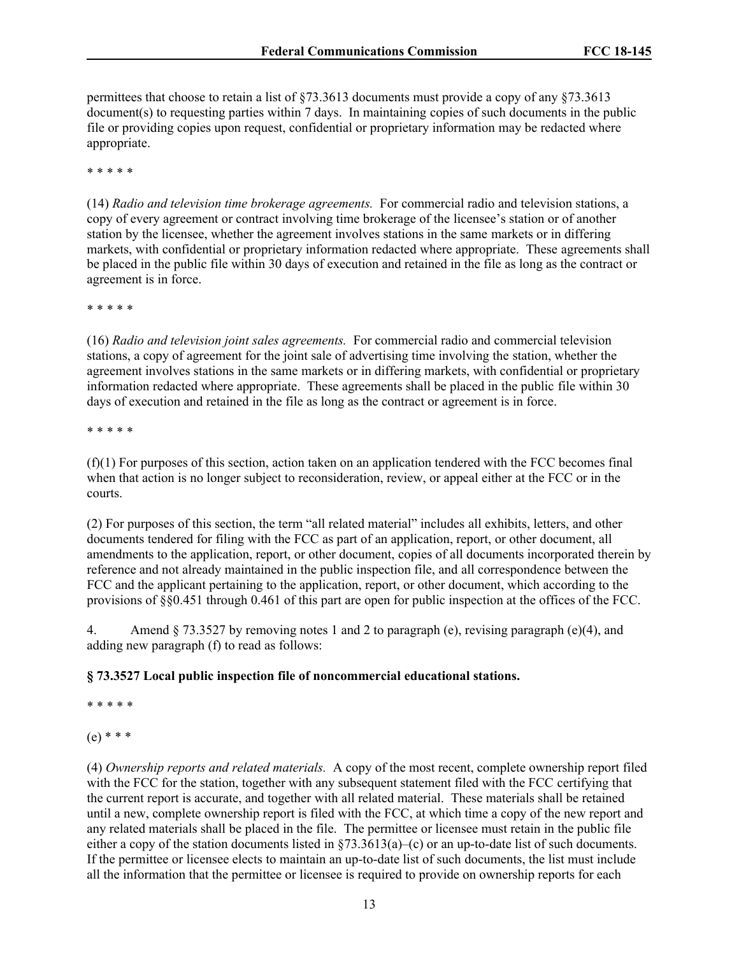permittees that choose to retain a list of §73.3613 documents must provide a copy of any §73.3613 document(s) to requesting parties within 7 days. In maintaining copies of such documents in the public file or providing copies upon request, confidential or proprietary information may be redacted where appropriate.

\* \* \* \* \*

(14) *Radio and television time brokerage agreements.* For commercial radio and television stations, a copy of every agreement or contract involving time brokerage of the licensee's station or of another station by the licensee, whether the agreement involves stations in the same markets or in differing markets, with confidential or proprietary information redacted where appropriate. These agreements shall be placed in the public file within 30 days of execution and retained in the file as long as the contract or agreement is in force.

\* \* \* \* \*

(16) *Radio and television joint sales agreements.* For commercial radio and commercial television stations, a copy of agreement for the joint sale of advertising time involving the station, whether the agreement involves stations in the same markets or in differing markets, with confidential or proprietary information redacted where appropriate. These agreements shall be placed in the public file within 30 days of execution and retained in the file as long as the contract or agreement is in force.

\* \* \* \* \*

 $(f)(1)$  For purposes of this section, action taken on an application tendered with the FCC becomes final when that action is no longer subject to reconsideration, review, or appeal either at the FCC or in the courts.

(2) For purposes of this section, the term "all related material" includes all exhibits, letters, and other documents tendered for filing with the FCC as part of an application, report, or other document, all amendments to the application, report, or other document, copies of all documents incorporated therein by reference and not already maintained in the public inspection file, and all correspondence between the FCC and the applicant pertaining to the application, report, or other document, which according to the provisions of §§0.451 through 0.461 of this part are open for public inspection at the offices of the FCC.

4. Amend § 73.3527 by removing notes 1 and 2 to paragraph (e), revising paragraph (e)(4), and adding new paragraph (f) to read as follows:

# **§ 73.3527 Local public inspection file of noncommercial educational stations.**

\* \* \* \* \*

(e) \* \* \*

(4) *Ownership reports and related materials.* A copy of the most recent, complete ownership report filed with the FCC for the station, together with any subsequent statement filed with the FCC certifying that the current report is accurate, and together with all related material. These materials shall be retained until a new, complete ownership report is filed with the FCC, at which time a copy of the new report and any related materials shall be placed in the file. The permittee or licensee must retain in the public file either a copy of the station documents listed in  $\S73.3613(a)$ –(c) or an up-to-date list of such documents. If the permittee or licensee elects to maintain an up-to-date list of such documents, the list must include all the information that the permittee or licensee is required to provide on ownership reports for each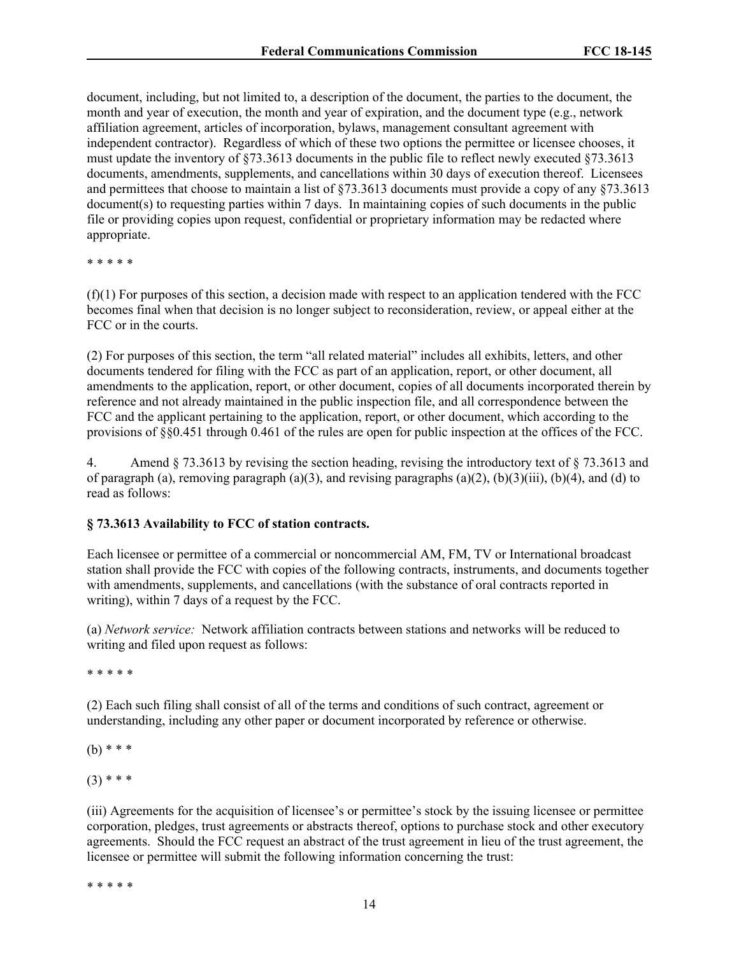document, including, but not limited to, a description of the document, the parties to the document, the month and year of execution, the month and year of expiration, and the document type (e.g., network affiliation agreement, articles of incorporation, bylaws, management consultant agreement with independent contractor). Regardless of which of these two options the permittee or licensee chooses, it must update the inventory of §73.3613 documents in the public file to reflect newly executed §73.3613 documents, amendments, supplements, and cancellations within 30 days of execution thereof. Licensees and permittees that choose to maintain a list of §73.3613 documents must provide a copy of any §73.3613 document(s) to requesting parties within 7 days. In maintaining copies of such documents in the public file or providing copies upon request, confidential or proprietary information may be redacted where appropriate.

\* \* \* \* \*

 $(f)(1)$  For purposes of this section, a decision made with respect to an application tendered with the FCC becomes final when that decision is no longer subject to reconsideration, review, or appeal either at the FCC or in the courts.

(2) For purposes of this section, the term "all related material" includes all exhibits, letters, and other documents tendered for filing with the FCC as part of an application, report, or other document, all amendments to the application, report, or other document, copies of all documents incorporated therein by reference and not already maintained in the public inspection file, and all correspondence between the FCC and the applicant pertaining to the application, report, or other document, which according to the provisions of §§0.451 through 0.461 of the rules are open for public inspection at the offices of the FCC.

4. Amend § 73.3613 by revising the section heading, revising the introductory text of § 73.3613 and of paragraph (a), removing paragraph (a)(3), and revising paragraphs (a)(2), (b)(3)(iii), (b)(4), and (d) to read as follows:

#### **§ 73.3613 Availability to FCC of station contracts.**

Each licensee or permittee of a commercial or noncommercial AM, FM, TV or International broadcast station shall provide the FCC with copies of the following contracts, instruments, and documents together with amendments, supplements, and cancellations (with the substance of oral contracts reported in writing), within 7 days of a request by the FCC.

(a) *Network service:* Network affiliation contracts between stations and networks will be reduced to writing and filed upon request as follows:

\* \* \* \* \*

(2) Each such filing shall consist of all of the terms and conditions of such contract, agreement or understanding, including any other paper or document incorporated by reference or otherwise.

(b) \* \* \*

 $(3)$  \* \* \*

(iii) Agreements for the acquisition of licensee's or permittee's stock by the issuing licensee or permittee corporation, pledges, trust agreements or abstracts thereof, options to purchase stock and other executory agreements. Should the FCC request an abstract of the trust agreement in lieu of the trust agreement, the licensee or permittee will submit the following information concerning the trust:

\* \* \* \* \*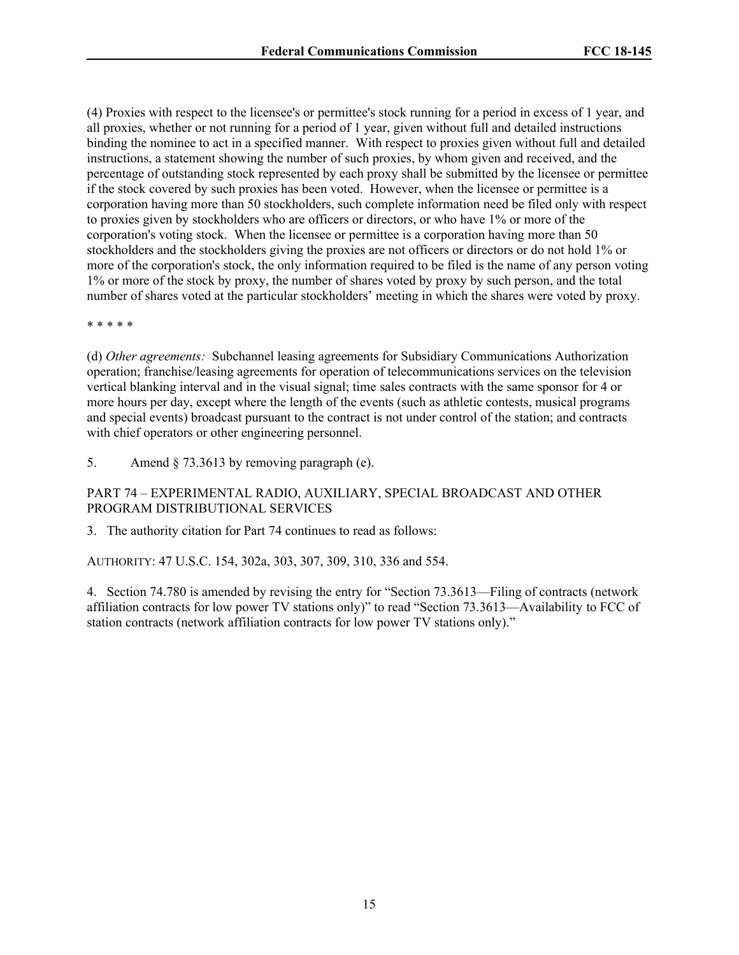(4) Proxies with respect to the licensee's or permittee's stock running for a period in excess of 1 year, and all proxies, whether or not running for a period of 1 year, given without full and detailed instructions binding the nominee to act in a specified manner. With respect to proxies given without full and detailed instructions, a statement showing the number of such proxies, by whom given and received, and the percentage of outstanding stock represented by each proxy shall be submitted by the licensee or permittee if the stock covered by such proxies has been voted. However, when the licensee or permittee is a corporation having more than 50 stockholders, such complete information need be filed only with respect to proxies given by stockholders who are officers or directors, or who have 1% or more of the corporation's voting stock. When the licensee or permittee is a corporation having more than 50 stockholders and the stockholders giving the proxies are not officers or directors or do not hold 1% or more of the corporation's stock, the only information required to be filed is the name of any person voting 1% or more of the stock by proxy, the number of shares voted by proxy by such person, and the total number of shares voted at the particular stockholders' meeting in which the shares were voted by proxy.

\* \* \* \* \*

(d) *Other agreements:* Subchannel leasing agreements for Subsidiary Communications Authorization operation; franchise/leasing agreements for operation of telecommunications services on the television vertical blanking interval and in the visual signal; time sales contracts with the same sponsor for 4 or more hours per day, except where the length of the events (such as athletic contests, musical programs and special events) broadcast pursuant to the contract is not under control of the station; and contracts with chief operators or other engineering personnel.

5. Amend § 73.3613 by removing paragraph (e).

# PART 74 – EXPERIMENTAL RADIO, AUXILIARY, SPECIAL BROADCAST AND OTHER PROGRAM DISTRIBUTIONAL SERVICES

3. The authority citation for Part 74 continues to read as follows:

AUTHORITY: 47 U.S.C. 154, 302a, 303, 307, 309, 310, 336 and 554.

4. Section 74.780 is amended by revising the entry for "Section 73.3613—Filing of contracts (network affiliation contracts for low power TV stations only)" to read "Section 73.3613—Availability to FCC of station contracts (network affiliation contracts for low power TV stations only)."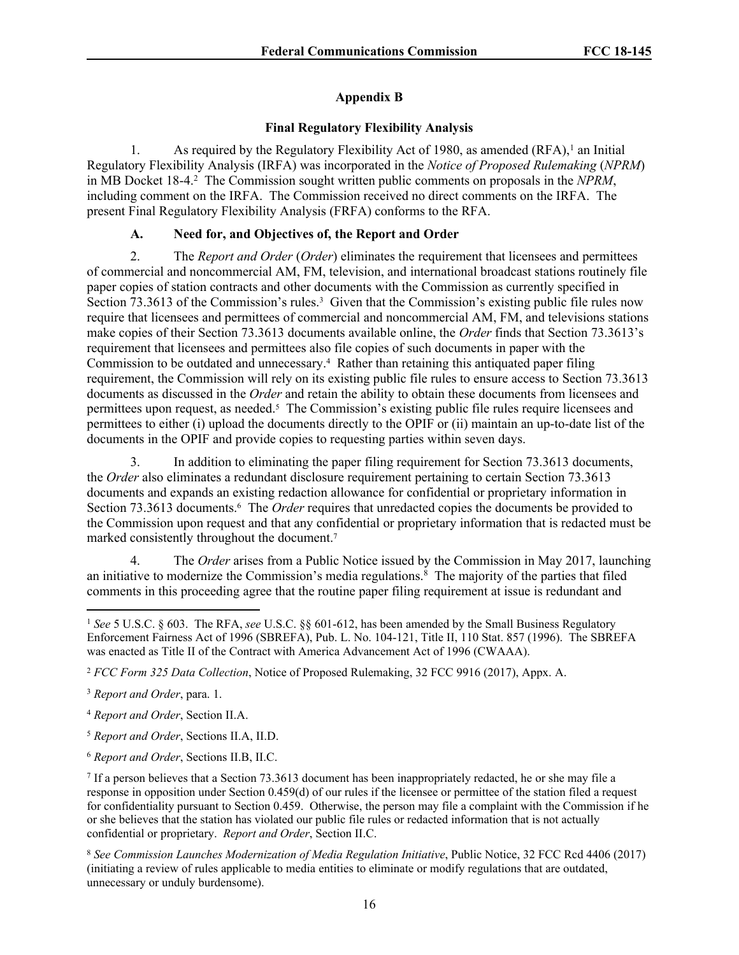# **Appendix B**

## **Final Regulatory Flexibility Analysis**

1. As required by the Regulatory Flexibility Act of 1980, as amended  $(RFA)$ ,<sup>1</sup> an Initial Regulatory Flexibility Analysis (IRFA) was incorporated in the *Notice of Proposed Rulemaking* (*NPRM*) in MB Docket 18-4.<sup>2</sup> The Commission sought written public comments on proposals in the *NPRM*, including comment on the IRFA. The Commission received no direct comments on the IRFA. The present Final Regulatory Flexibility Analysis (FRFA) conforms to the RFA.

## **A. Need for, and Objectives of, the Report and Order**

2. The *Report and Order* (*Order*) eliminates the requirement that licensees and permittees of commercial and noncommercial AM, FM, television, and international broadcast stations routinely file paper copies of station contracts and other documents with the Commission as currently specified in Section 73.3613 of the Commission's rules.<sup>3</sup> Given that the Commission's existing public file rules now require that licensees and permittees of commercial and noncommercial AM, FM, and televisions stations make copies of their Section 73.3613 documents available online, the *Order* finds that Section 73.3613's requirement that licensees and permittees also file copies of such documents in paper with the Commission to be outdated and unnecessary.<sup>4</sup> Rather than retaining this antiquated paper filing requirement, the Commission will rely on its existing public file rules to ensure access to Section 73.3613 documents as discussed in the *Order* and retain the ability to obtain these documents from licensees and permittees upon request, as needed.<sup>5</sup> The Commission's existing public file rules require licensees and permittees to either (i) upload the documents directly to the OPIF or (ii) maintain an up-to-date list of the documents in the OPIF and provide copies to requesting parties within seven days.

3. In addition to eliminating the paper filing requirement for Section 73.3613 documents, the *Order* also eliminates a redundant disclosure requirement pertaining to certain Section 73.3613 documents and expands an existing redaction allowance for confidential or proprietary information in Section 73.3613 documents.<sup>6</sup> The *Order* requires that unredacted copies the documents be provided to the Commission upon request and that any confidential or proprietary information that is redacted must be marked consistently throughout the document.<sup>7</sup>

4. The *Order* arises from a Public Notice issued by the Commission in May 2017, launching an initiative to modernize the Commission's media regulations.<sup>8</sup> The majority of the parties that filed comments in this proceeding agree that the routine paper filing requirement at issue is redundant and

<sup>1</sup> *See* 5 U.S.C. § 603. The RFA, *see* U.S.C. §§ 601-612, has been amended by the Small Business Regulatory Enforcement Fairness Act of 1996 (SBREFA), Pub. L. No. 104-121, Title II, 110 Stat. 857 (1996). The SBREFA was enacted as Title II of the Contract with America Advancement Act of 1996 (CWAAA).

<sup>2</sup> *FCC Form 325 Data Collection*, Notice of Proposed Rulemaking, 32 FCC 9916 (2017), Appx. A.

<sup>3</sup> *Report and Order*, para. [1.](#page-0-0)

<sup>4</sup> *Report and Order*, Section [II.A](#page-1-1).

<sup>5</sup> *Report and Order*, Sections [II.A](#page-1-1), [II.D.](#page-8-0)

<sup>6</sup> *Report and Order*, Sections [II.B,](#page-5-0) [II.C](#page-6-1).

<sup>7</sup> If a person believes that a Section 73.3613 document has been inappropriately redacted, he or she may file a response in opposition under Section 0.459(d) of our rules if the licensee or permittee of the station filed a request for confidentiality pursuant to Section 0.459. Otherwise, the person may file a complaint with the Commission if he or she believes that the station has violated our public file rules or redacted information that is not actually confidential or proprietary. *Report and Order*, Section [II.C.](#page-6-1)

<sup>8</sup> *See Commission Launches Modernization of Media Regulation Initiative*, Public Notice, 32 FCC Rcd 4406 (2017) (initiating a review of rules applicable to media entities to eliminate or modify regulations that are outdated, unnecessary or unduly burdensome).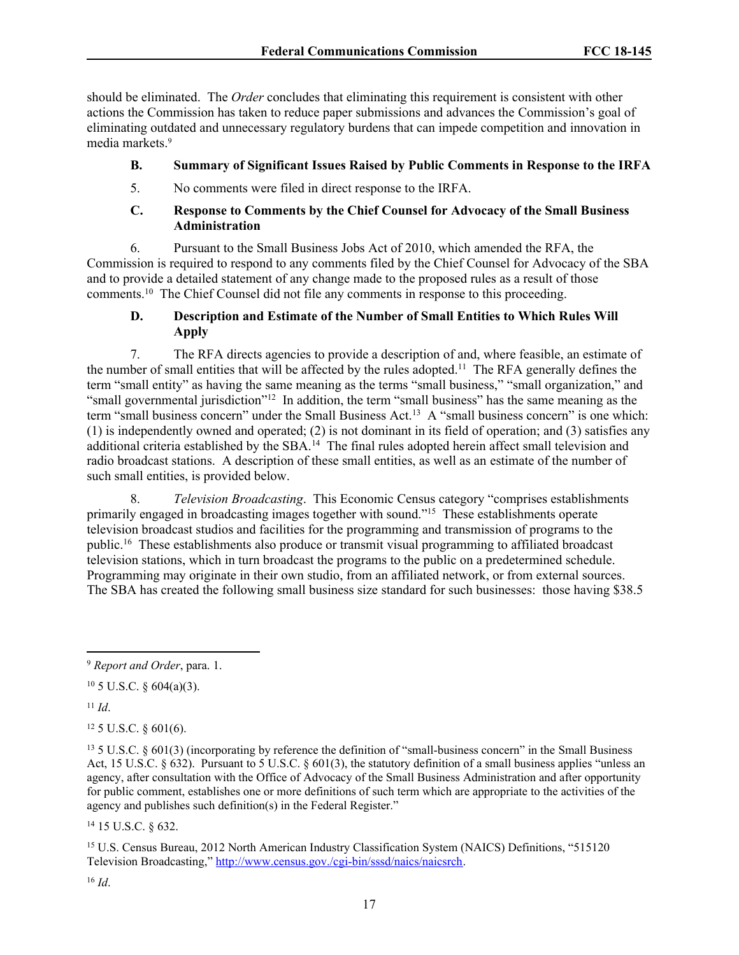should be eliminated. The *Order* concludes that eliminating this requirement is consistent with other actions the Commission has taken to reduce paper submissions and advances the Commission's goal of eliminating outdated and unnecessary regulatory burdens that can impede competition and innovation in media markets.<sup>9</sup>

## **B. Summary of Significant Issues Raised by Public Comments in Response to the IRFA**

5. No comments were filed in direct response to the IRFA.

#### **C. Response to Comments by the Chief Counsel for Advocacy of the Small Business Administration**

6. Pursuant to the Small Business Jobs Act of 2010, which amended the RFA, the Commission is required to respond to any comments filed by the Chief Counsel for Advocacy of the SBA and to provide a detailed statement of any change made to the proposed rules as a result of those comments.<sup>10</sup> The Chief Counsel did not file any comments in response to this proceeding.

# **D. Description and Estimate of the Number of Small Entities to Which Rules Will Apply**

7. The RFA directs agencies to provide a description of and, where feasible, an estimate of the number of small entities that will be affected by the rules adopted.<sup>11</sup> The RFA generally defines the term "small entity" as having the same meaning as the terms "small business," "small organization," and "small governmental jurisdiction"<sup>12</sup> In addition, the term "small business" has the same meaning as the term "small business concern" under the Small Business Act.<sup>13</sup> A "small business concern" is one which: (1) is independently owned and operated; (2) is not dominant in its field of operation; and (3) satisfies any additional criteria established by the SBA.<sup>14</sup> The final rules adopted herein affect small television and radio broadcast stations. A description of these small entities, as well as an estimate of the number of such small entities, is provided below.

8. *Television Broadcasting*. This Economic Census category "comprises establishments primarily engaged in broadcasting images together with sound."<sup>15</sup> These establishments operate television broadcast studios and facilities for the programming and transmission of programs to the public.<sup>16</sup> These establishments also produce or transmit visual programming to affiliated broadcast television stations, which in turn broadcast the programs to the public on a predetermined schedule. Programming may originate in their own studio, from an affiliated network, or from external sources. The SBA has created the following small business size standard for such businesses: those having \$38.5

<sup>11</sup> *Id*.

 $12$  5 U.S.C. § 601(6).

<sup>14</sup> 15 U.S.C. § 632.

<sup>15</sup> U.S. Census Bureau, 2012 North American Industry Classification System (NAICS) Definitions, "515120 Television Broadcasting," [http://www.census.gov./cgi-bin/sssd/naics/naicsrch.](http://www.census.gov./cgi-bin/sssd/naics/naicsrch)

<sup>16</sup> *Id*.

<sup>9</sup> *Report and Order*, para. [1.](#page-0-0)

 $10\,5$  U.S.C. § 604(a)(3).

<sup>13</sup> 5 U.S.C. § 601(3) (incorporating by reference the definition of "small-business concern" in the Small Business Act, 15 U.S.C. § 632). Pursuant to 5 U.S.C. § 601(3), the statutory definition of a small business applies "unless an agency, after consultation with the Office of Advocacy of the Small Business Administration and after opportunity for public comment, establishes one or more definitions of such term which are appropriate to the activities of the agency and publishes such definition(s) in the Federal Register."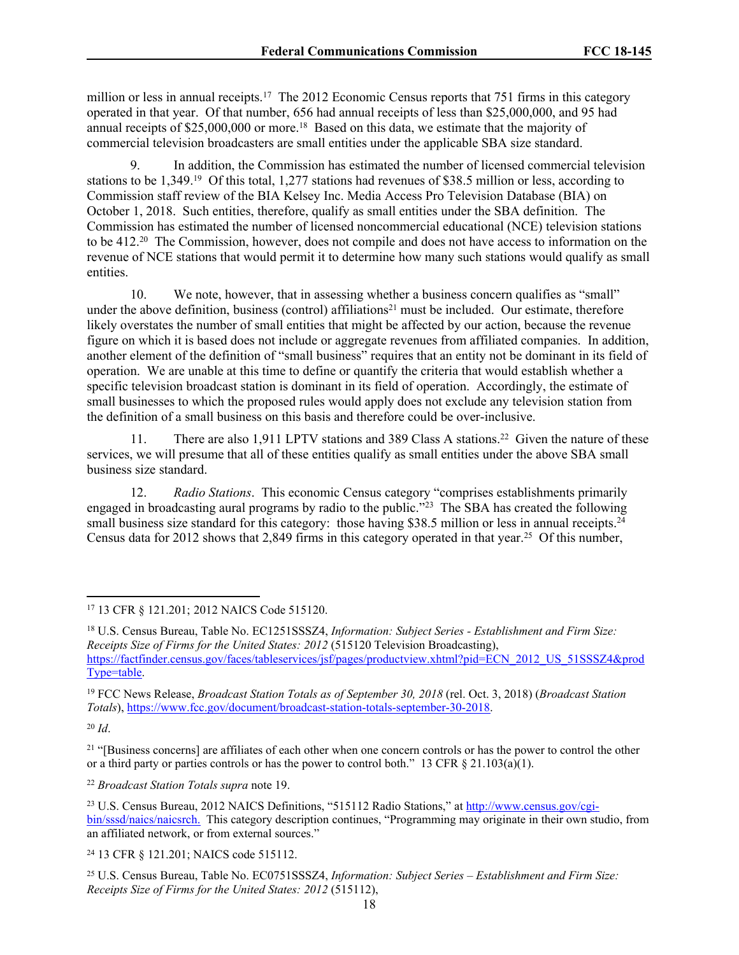million or less in annual receipts.<sup>17</sup> The 2012 Economic Census reports that 751 firms in this category operated in that year. Of that number, 656 had annual receipts of less than \$25,000,000, and 95 had annual receipts of \$25,000,000 or more.<sup>18</sup> Based on this data, we estimate that the majority of commercial television broadcasters are small entities under the applicable SBA size standard.

<span id="page-17-0"></span>9. In addition, the Commission has estimated the number of licensed commercial television stations to be 1,349.<sup>19</sup> Of this total, 1,277 stations had revenues of \$38.5 million or less, according to Commission staff review of the BIA Kelsey Inc. Media Access Pro Television Database (BIA) on October 1, 2018. Such entities, therefore, qualify as small entities under the SBA definition. The Commission has estimated the number of licensed noncommercial educational (NCE) television stations to be 412.<sup>20</sup> The Commission, however, does not compile and does not have access to information on the revenue of NCE stations that would permit it to determine how many such stations would qualify as small entities.

10. We note, however, that in assessing whether a business concern qualifies as "small" under the above definition, business (control) affiliations<sup>21</sup> must be included. Our estimate, therefore likely overstates the number of small entities that might be affected by our action, because the revenue figure on which it is based does not include or aggregate revenues from affiliated companies. In addition, another element of the definition of "small business" requires that an entity not be dominant in its field of operation. We are unable at this time to define or quantify the criteria that would establish whether a specific television broadcast station is dominant in its field of operation. Accordingly, the estimate of small businesses to which the proposed rules would apply does not exclude any television station from the definition of a small business on this basis and therefore could be over-inclusive.

11. There are also 1,911 LPTV stations and 389 Class A stations.<sup>22</sup> Given the nature of these services, we will presume that all of these entities qualify as small entities under the above SBA small business size standard.

12. *Radio Stations*. This economic Census category "comprises establishments primarily engaged in broadcasting aural programs by radio to the public."<sup>23</sup> The SBA has created the following small business size standard for this category: those having \$38.5 million or less in annual receipts.<sup>24</sup> Census data for 2012 shows that 2,849 firms in this category operated in that year.<sup>25</sup> Of this number,

<sup>20</sup> *Id*.

<sup>22</sup> *Broadcast Station Totals supra* note [19.](#page-17-0)

<sup>17</sup> 13 CFR § 121.201; 2012 NAICS Code 515120.

<sup>18</sup> U.S. Census Bureau, Table No. EC1251SSSZ4, *Information: Subject Series - Establishment and Firm Size: Receipts Size of Firms for the United States: 2012* (515120 Television Broadcasting), [https://factfinder.census.gov/faces/tableservices/jsf/pages/productview.xhtml?pid=ECN\\_2012\\_US\\_51SSSZ4&prod](https://factfinder.census.gov/faces/tableservices/jsf/pages/productview.xhtml?pid=ECN_2012_US_51SSSZ4&prodType=table) [Type=table.](https://factfinder.census.gov/faces/tableservices/jsf/pages/productview.xhtml?pid=ECN_2012_US_51SSSZ4&prodType=table)

<sup>19</sup> FCC News Release, *Broadcast Station Totals as of September 30, 2018* (rel. Oct. 3, 2018) (*Broadcast Station Totals*), <https://www.fcc.gov/document/broadcast-station-totals-september-30-2018>.

<sup>&</sup>lt;sup>21</sup> "[Business concerns] are affiliates of each other when one concern controls or has the power to control the other or a third party or parties controls or has the power to control both." 13 CFR  $\S$  21.103(a)(1).

<sup>23</sup> U.S. Census Bureau, 2012 NAICS Definitions, "515112 Radio Stations," at [http://www.census.gov/cgi](http://www.census.gov/cgi-bin/sssd/naics/naicsrch)[bin/sssd/naics/naicsrch.](http://www.census.gov/cgi-bin/sssd/naics/naicsrch) This category description continues, "Programming may originate in their own studio, from an affiliated network, or from external sources."

<sup>24</sup> 13 CFR § 121.201; NAICS code 515112.

<sup>25</sup> U.S. Census Bureau, Table No. EC0751SSSZ4, *Information: Subject Series – Establishment and Firm Size: Receipts Size of Firms for the United States: 2012* (515112),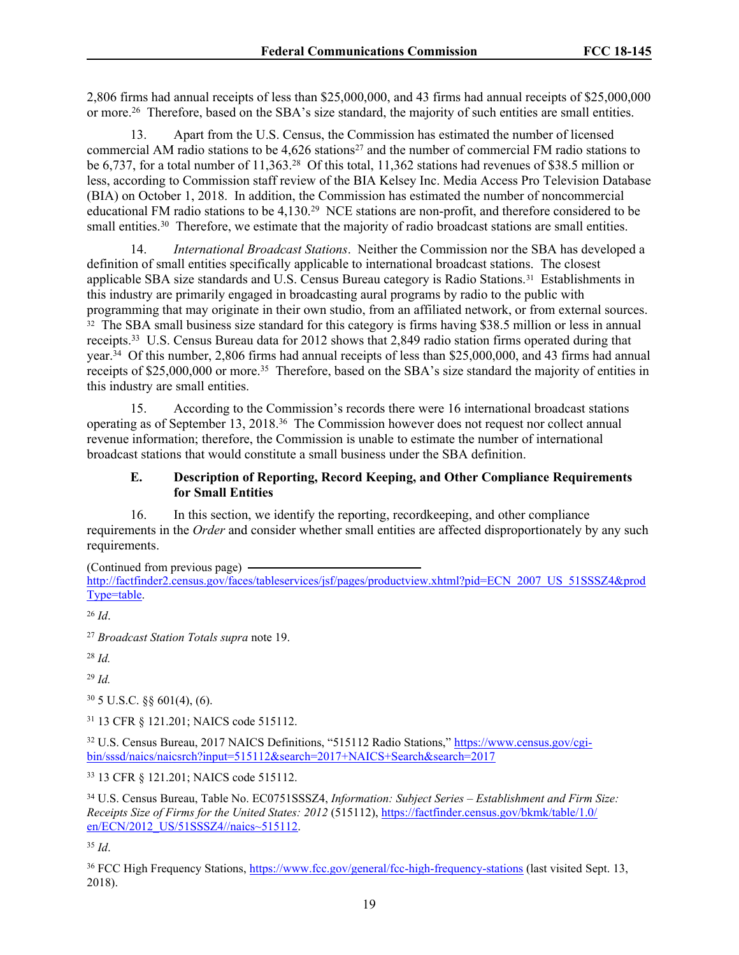2,806 firms had annual receipts of less than \$25,000,000, and 43 firms had annual receipts of \$25,000,000 or more.<sup>26</sup> Therefore, based on the SBA's size standard, the majority of such entities are small entities.

13. Apart from the U.S. Census, the Commission has estimated the number of licensed commercial AM radio stations to be  $4,626$  stations<sup>27</sup> and the number of commercial FM radio stations to be 6,737, for a total number of 11,363.<sup>28</sup> Of this total, 11,362 stations had revenues of \$38.5 million or less, according to Commission staff review of the BIA Kelsey Inc. Media Access Pro Television Database (BIA) on October 1, 2018. In addition, the Commission has estimated the number of noncommercial educational FM radio stations to be 4,130.<sup>29</sup> NCE stations are non-profit, and therefore considered to be small entities.<sup>30</sup> Therefore, we estimate that the majority of radio broadcast stations are small entities.

14. *International Broadcast Stations*. Neither the Commission nor the SBA has developed a definition of small entities specifically applicable to international broadcast stations. The closest applicable SBA size standards and U.S. Census Bureau category is Radio Stations.<sup>31</sup> Establishments in this industry are primarily engaged in broadcasting aural programs by radio to the public with programming that may originate in their own studio, from an affiliated network, or from external sources. <sup>32</sup> The SBA small business size standard for this category is firms having \$38.5 million or less in annual receipts.<sup>33</sup> U.S. Census Bureau data for 2012 shows that 2,849 radio station firms operated during that year.<sup>34</sup> Of this number, 2,806 firms had annual receipts of less than \$25,000,000, and 43 firms had annual receipts of \$25,000,000 or more.<sup>35</sup> Therefore, based on the SBA's size standard the majority of entities in this industry are small entities.

15. According to the Commission's records there were 16 international broadcast stations operating as of September 13, 2018.<sup>36</sup> The Commission however does not request nor collect annual revenue information; therefore, the Commission is unable to estimate the number of international broadcast stations that would constitute a small business under the SBA definition.

#### **E. Description of Reporting, Record Keeping, and Other Compliance Requirements for Small Entities**

16. In this section, we identify the reporting, recordkeeping, and other compliance requirements in the *Order* and consider whether small entities are affected disproportionately by any such requirements.

(Continued from previous page)

[http://factfinder2.census.gov/faces/tableservices/jsf/pages/productview.xhtml?pid=ECN\\_2007\\_US\\_51SSSZ4&prod](http://factfinder2.census.gov/faces/tableservices/jsf/pages/productview.xhtml?pid=ECN_2007_US_51SSSZ4&prodType=table) [Type=table.](http://factfinder2.census.gov/faces/tableservices/jsf/pages/productview.xhtml?pid=ECN_2007_US_51SSSZ4&prodType=table)

<sup>26</sup> *Id*.

<sup>27</sup> *Broadcast Station Totals supra* note [19.](#page-17-0)

<sup>28</sup> *Id.*

<sup>29</sup> *Id.*

 $30\,5$  U.S.C. §§ 601(4), (6).

<sup>31</sup> 13 CFR § 121.201; NAICS code 515112.

<sup>32</sup> U.S. Census Bureau, 2017 NAICS Definitions, "515112 Radio Stations," [https://www.census.gov/cgi](https://www.census.gov/cgi-bin/sssd/naics/naicsrch?input=515112&search=2017+NAICS+Search&search=2017)[bin/sssd/naics/naicsrch?input=515112&search=2017+NAICS+Search&search=2017](https://www.census.gov/cgi-bin/sssd/naics/naicsrch?input=515112&search=2017+NAICS+Search&search=2017)

<sup>33</sup> 13 CFR § 121.201; NAICS code 515112.

<sup>34</sup> U.S. Census Bureau, Table No. EC0751SSSZ4, *Information: Subject Series – Establishment and Firm Size: Receipts Size of Firms for the United States: 2012* (515112), [https://factfinder.census.gov/bkmk/table/1.0/](https://factfinder.census.gov/bkmk/table/1.0/en/ECN/2012_US/51SSSZ4//naics~515112) [en/ECN/2012\\_US/51SSSZ4//naics~515112.](https://factfinder.census.gov/bkmk/table/1.0/en/ECN/2012_US/51SSSZ4//naics~515112)

<sup>35</sup> *Id*.

<sup>36</sup> FCC High Frequency Stations, <https://www.fcc.gov/general/fcc-high-frequency-stations> (last visited Sept. 13, 2018).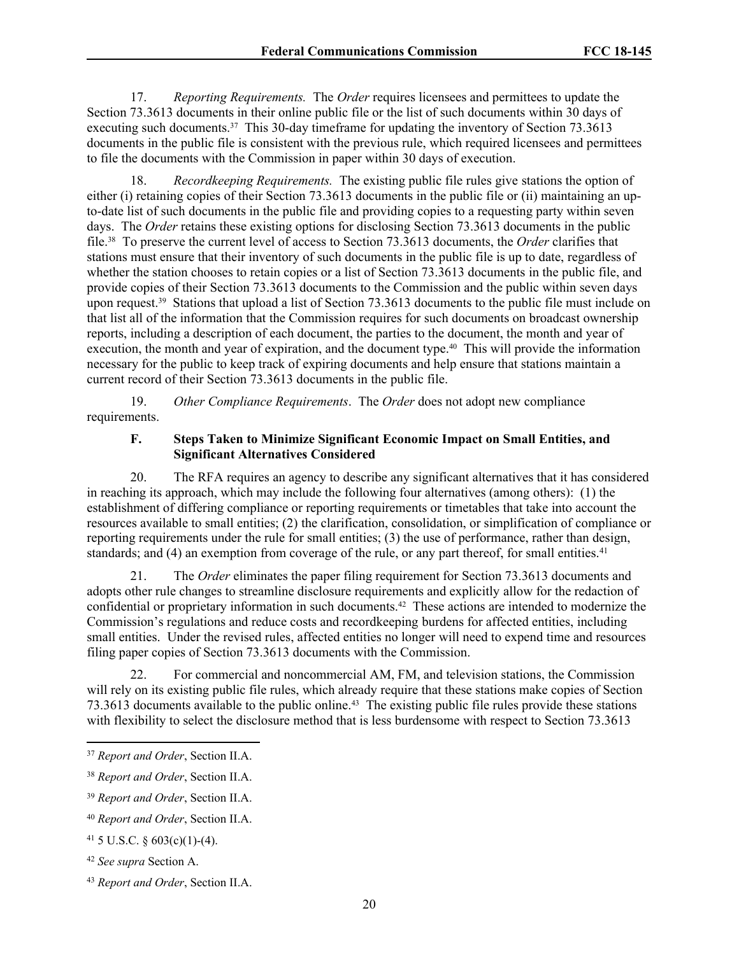17. *Reporting Requirements.* The *Order* requires licensees and permittees to update the Section 73.3613 documents in their online public file or the list of such documents within 30 days of executing such documents.<sup>37</sup> This 30-day timeframe for updating the inventory of Section 73.3613 documents in the public file is consistent with the previous rule, which required licensees and permittees to file the documents with the Commission in paper within 30 days of execution.

18. *Recordkeeping Requirements.* The existing public file rules give stations the option of either (i) retaining copies of their Section 73.3613 documents in the public file or (ii) maintaining an upto-date list of such documents in the public file and providing copies to a requesting party within seven days. The *Order* retains these existing options for disclosing Section 73.3613 documents in the public file.<sup>38</sup> To preserve the current level of access to Section 73.3613 documents, the *Order* clarifies that stations must ensure that their inventory of such documents in the public file is up to date, regardless of whether the station chooses to retain copies or a list of Section 73.3613 documents in the public file, and provide copies of their Section 73.3613 documents to the Commission and the public within seven days upon request.<sup>39</sup> Stations that upload a list of Section 73.3613 documents to the public file must include on that list all of the information that the Commission requires for such documents on broadcast ownership reports, including a description of each document, the parties to the document, the month and year of execution, the month and year of expiration, and the document type.<sup>40</sup> This will provide the information necessary for the public to keep track of expiring documents and help ensure that stations maintain a current record of their Section 73.3613 documents in the public file.

19. *Other Compliance Requirements*. The *Order* does not adopt new compliance requirements.

#### **F. Steps Taken to Minimize Significant Economic Impact on Small Entities, and Significant Alternatives Considered**

20. The RFA requires an agency to describe any significant alternatives that it has considered in reaching its approach, which may include the following four alternatives (among others): (1) the establishment of differing compliance or reporting requirements or timetables that take into account the resources available to small entities; (2) the clarification, consolidation, or simplification of compliance or reporting requirements under the rule for small entities; (3) the use of performance, rather than design, standards; and  $(4)$  an exemption from coverage of the rule, or any part thereof, for small entities.<sup>41</sup>

21. The *Order* eliminates the paper filing requirement for Section 73.3613 documents and adopts other rule changes to streamline disclosure requirements and explicitly allow for the redaction of confidential or proprietary information in such documents.<sup>42</sup> These actions are intended to modernize the Commission's regulations and reduce costs and recordkeeping burdens for affected entities, including small entities. Under the revised rules, affected entities no longer will need to expend time and resources filing paper copies of Section 73.3613 documents with the Commission.

22. For commercial and noncommercial AM, FM, and television stations, the Commission will rely on its existing public file rules, which already require that these stations make copies of Section 73.3613 documents available to the public online.<sup>43</sup> The existing public file rules provide these stations with flexibility to select the disclosure method that is less burdensome with respect to Section 73.3613

<sup>37</sup> *Report and Order*, Section [II.A.](#page-1-1)

<sup>38</sup> *Report and Order*, Section [II.A.](#page-1-1)

<sup>39</sup> *Report and Order*, Section [II.A.](#page-1-1)

<sup>40</sup> *Report and Order*, Section [II.A.](#page-1-1)

 $41\,5$  U.S.C. § 603(c)(1)-(4).

<sup>42</sup> *See supra* Section A.

<sup>43</sup> *Report and Order*, Section [II.A.](#page-1-1)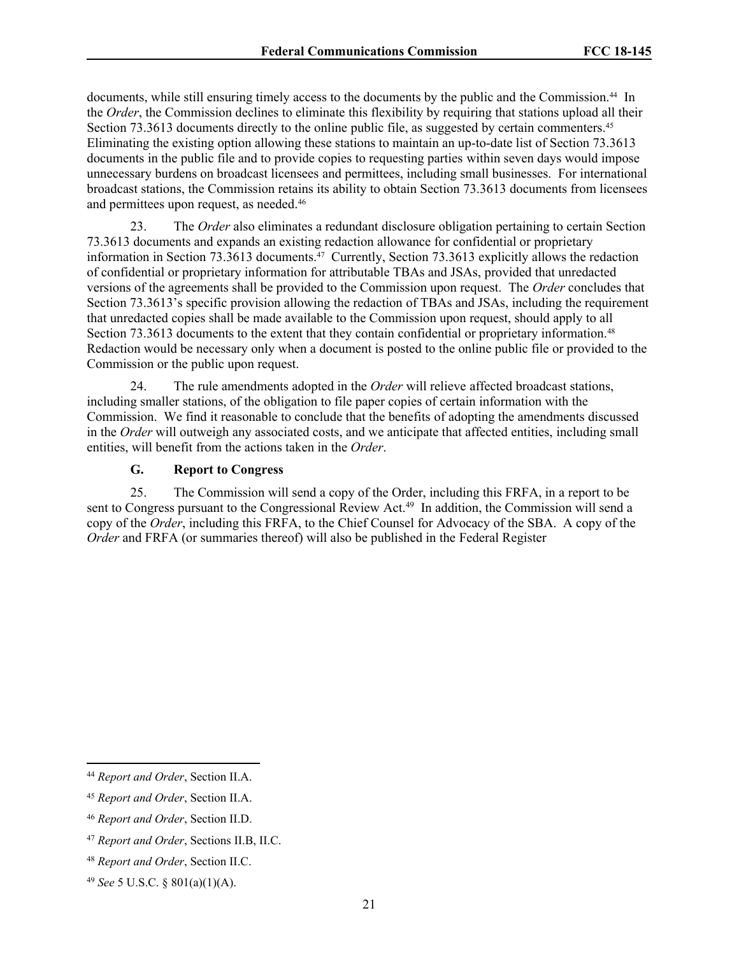documents, while still ensuring timely access to the documents by the public and the Commission.<sup>44</sup> In the *Order*, the Commission declines to eliminate this flexibility by requiring that stations upload all their Section 73.3613 documents directly to the online public file, as suggested by certain commenters.<sup>45</sup> Eliminating the existing option allowing these stations to maintain an up-to-date list of Section 73.3613 documents in the public file and to provide copies to requesting parties within seven days would impose unnecessary burdens on broadcast licensees and permittees, including small businesses. For international broadcast stations, the Commission retains its ability to obtain Section 73.3613 documents from licensees and permittees upon request, as needed.<sup>46</sup>

23. The *Order* also eliminates a redundant disclosure obligation pertaining to certain Section 73.3613 documents and expands an existing redaction allowance for confidential or proprietary information in Section 73.3613 documents.<sup>47</sup> Currently, Section 73.3613 explicitly allows the redaction of confidential or proprietary information for attributable TBAs and JSAs, provided that unredacted versions of the agreements shall be provided to the Commission upon request. The *Order* concludes that Section 73.3613's specific provision allowing the redaction of TBAs and JSAs, including the requirement that unredacted copies shall be made available to the Commission upon request, should apply to all Section 73.3613 documents to the extent that they contain confidential or proprietary information.<sup>48</sup> Redaction would be necessary only when a document is posted to the online public file or provided to the Commission or the public upon request.

24. The rule amendments adopted in the *Order* will relieve affected broadcast stations, including smaller stations, of the obligation to file paper copies of certain information with the Commission. We find it reasonable to conclude that the benefits of adopting the amendments discussed in the *Order* will outweigh any associated costs, and we anticipate that affected entities, including small entities, will benefit from the actions taken in the *Order*.

#### **G. Report to Congress**

25. The Commission will send a copy of the Order, including this FRFA, in a report to be sent to Congress pursuant to the Congressional Review Act.<sup>49</sup> In addition, the Commission will send a copy of the *Order*, including this FRFA, to the Chief Counsel for Advocacy of the SBA. A copy of the *Order* and FRFA (or summaries thereof) will also be published in the Federal Register

<sup>44</sup> *Report and Order*, Section [II.A.](#page-1-1)

<sup>45</sup> *Report and Order*, Section [II.A.](#page-1-1)

<sup>46</sup> *Report and Order*, Section [II.D.](#page-8-0)

<sup>47</sup> *Report and Order*, Sections [II.B,](#page-5-0) [II.C.](#page-6-1)

<sup>48</sup> *Report and Order*, Section [II.C.](#page-6-1)

<sup>49</sup> *See* 5 U.S.C. § 801(a)(1)(A).